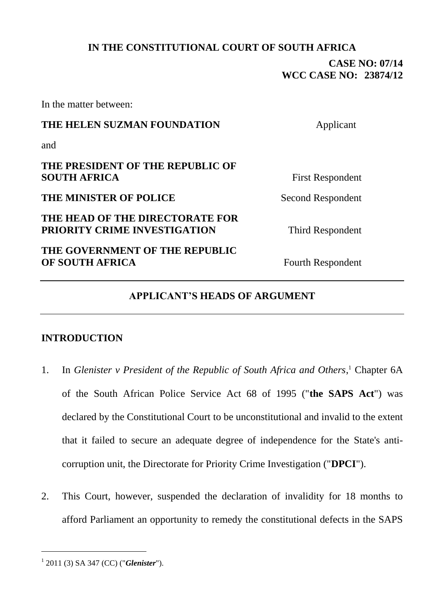## **IN THE CONSTITUTIONAL COURT OF SOUTH AFRICA**

# **CASE NO: 07/14 WCC CASE NO: 23874/12**

In the matter between:

# **THE HELEN SUZMAN FOUNDATION** Applicant

and

## **THE PRESIDENT OF THE REPUBLIC OF SOUTH AFRICA** First Respondent

## **THE MINISTER OF POLICE** Second Respondent

## **THE HEAD OF THE DIRECTORATE FOR PRIORITY CRIME INVESTIGATION** Third Respondent

# **THE GOVERNMENT OF THE REPUBLIC OF SOUTH AFRICA** Fourth Respondent

<span id="page-0-0"></span>

# **APPLICANT'S HEADS OF ARGUMENT**

# **INTRODUCTION**

- 1. In *Glenister v President of the Republic of South Africa and Others*,<sup>1</sup> Chapter 6A of the South African Police Service Act 68 of 1995 ("**the SAPS Act**") was declared by the Constitutional Court to be unconstitutional and invalid to the extent that it failed to secure an adequate degree of independence for the State's anticorruption unit, the Directorate for Priority Crime Investigation ("**DPCI**").
- 2. This Court, however, suspended the declaration of invalidity for 18 months to afford Parliament an opportunity to remedy the constitutional defects in the SAPS

<sup>1</sup> 2011 (3) SA 347 (CC) ("*Glenister*").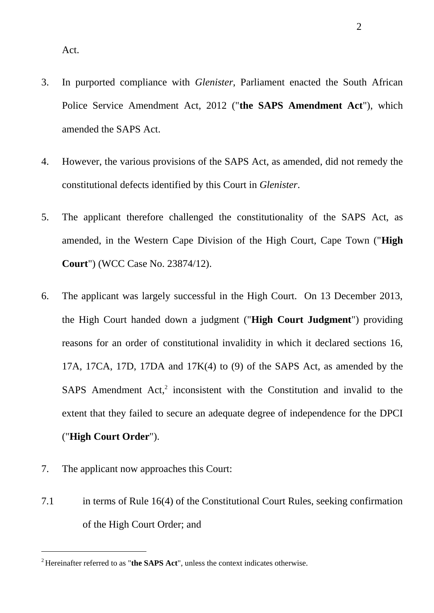Act.

- 3. In purported compliance with *Glenister*, Parliament enacted the South African Police Service Amendment Act, 2012 ("**the SAPS Amendment Act**"), which amended the SAPS Act.
- 4. However, the various provisions of the SAPS Act, as amended, did not remedy the constitutional defects identified by this Court in *Glenister*.
- 5. The applicant therefore challenged the constitutionality of the SAPS Act, as amended, in the Western Cape Division of the High Court, Cape Town ("**High Court**") (WCC Case No. 23874/12).
- 6. The applicant was largely successful in the High Court. On 13 December 2013, the High Court handed down a judgment ("**High Court Judgment**") providing reasons for an order of constitutional invalidity in which it declared sections 16, 17A, 17CA, 17D, 17DA and 17K(4) to (9) of the SAPS Act, as amended by the SAPS Amendment Act,<sup>2</sup> inconsistent with the Constitution and invalid to the extent that they failed to secure an adequate degree of independence for the DPCI ("**High Court Order**").
- 7. The applicant now approaches this Court:

7.1 in terms of Rule 16(4) of the Constitutional Court Rules, seeking confirmation of the High Court Order; and

<sup>2</sup> Hereinafter referred to as "**the SAPS Act**", unless the context indicates otherwise.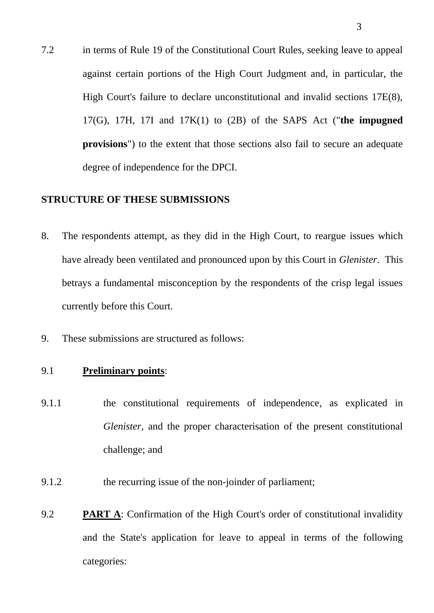7.2 in terms of Rule 19 of the Constitutional Court Rules, seeking leave to appeal against certain portions of the High Court Judgment and, in particular, the High Court's failure to declare unconstitutional and invalid sections 17E(8), 17(G), 17H, 17I and 17K(1) to (2B) of the SAPS Act ("**the impugned provisions**") to the extent that those sections also fail to secure an adequate degree of independence for the DPCI.

#### **STRUCTURE OF THESE SUBMISSIONS**

- 8. The respondents attempt, as they did in the High Court, to reargue issues which have already been ventilated and pronounced upon by this Court in *Glenister*. This betrays a fundamental misconception by the respondents of the crisp legal issues currently before this Court.
- 9. These submissions are structured as follows:

#### 9.1 **Preliminary points**:

- 9.1.1 the constitutional requirements of independence, as explicated in *Glenister,* and the proper characterisation of the present constitutional challenge; and
- 9.1.2 the recurring issue of the non-joinder of parliament;
- 9.2 **PART A**: Confirmation of the High Court's order of constitutional invalidity and the State's application for leave to appeal in terms of the following categories: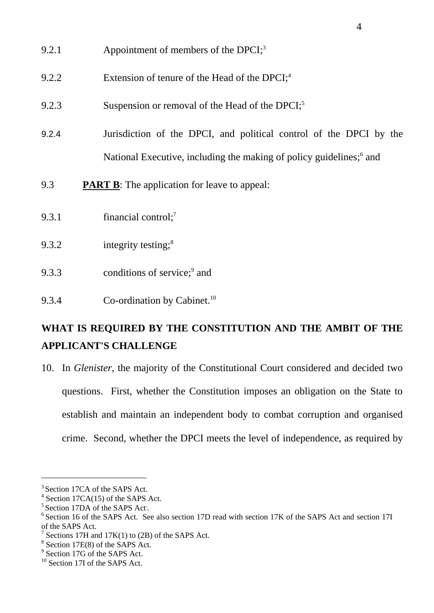- 9.2.1 Appointment of members of the DPCI;<sup>3</sup>
- 9.2.2 Extension of tenure of the Head of the DPCI;<sup>4</sup>
- 9.2.3 Suspension or removal of the Head of the DPCI;<sup>5</sup>
- 9.2.4 Jurisdiction of the DPCI, and political control of the DPCI by the National Executive, including the making of policy guidelines;<sup>6</sup> and
- 9.3 **PART B**: The application for leave to appeal:
- 9.3.1 financial control;<sup>7</sup>
- 9.3.2 integrity testing;<sup>8</sup>
- 9.3.3 conditions of service;<sup>9</sup> and
- 9.3.4 Co-ordination by Cabinet.<sup>10</sup>

# **WHAT IS REQUIRED BY THE CONSTITUTION AND THE AMBIT OF THE APPLICANT'S CHALLENGE**

10. In *Glenister*, the majority of the Constitutional Court considered and decided two questions. First, whether the Constitution imposes an obligation on the State to establish and maintain an independent body to combat corruption and organised crime. Second, whether the DPCI meets the level of independence, as required by

<sup>&</sup>lt;sup>3</sup> Section 17CA of the SAPS Act.

 $4$  Section 17CA(15) of the SAPS Act.

<sup>&</sup>lt;sup>5</sup> Section 17DA of the SAPS Act.

<sup>&</sup>lt;sup>6</sup> Section 16 of the SAPS Act. See also section 17D read with section 17K of the SAPS Act and section 17I of the SAPS Act.

<sup>7</sup> Sections 17H and 17K(1) to (2B) of the SAPS Act.

<sup>8</sup> Section 17E(8) of the SAPS Act.

<sup>&</sup>lt;sup>9</sup> Section 17G of the SAPS Act.

<sup>&</sup>lt;sup>10</sup> Section 17I of the SAPS Act.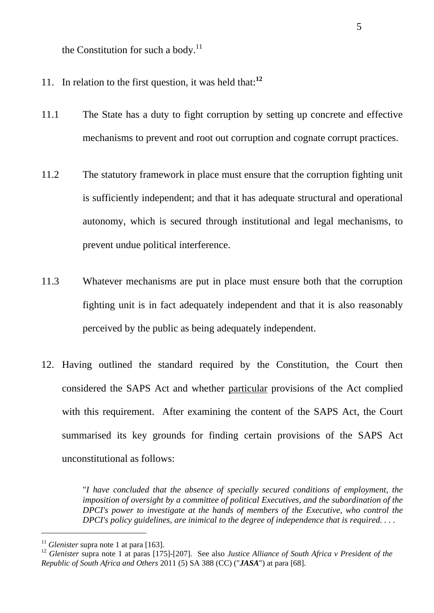the Constitution for such a body. $^{11}$ 

- 11. In relation to the first question, it was held that: **12**
- 11.1 The State has a duty to fight corruption by setting up concrete and effective mechanisms to prevent and root out corruption and cognate corrupt practices.
- 11.2 The statutory framework in place must ensure that the corruption fighting unit is sufficiently independent; and that it has adequate structural and operational autonomy, which is secured through institutional and legal mechanisms, to prevent undue political interference.
- 11.3 Whatever mechanisms are put in place must ensure both that the corruption fighting unit is in fact adequately independent and that it is also reasonably perceived by the public as being adequately independent.
- 12. Having outlined the standard required by the Constitution, the Court then considered the SAPS Act and whether particular provisions of the Act complied with this requirement. After examining the content of the SAPS Act, the Court summarised its key grounds for finding certain provisions of the SAPS Act unconstitutional as follows:

"*I have concluded that the absence of specially secured conditions of employment, the imposition of oversight by a committee of political Executives, and the subordination of the DPCI's power to investigate at the hands of members of the Executive, who control the DPCI's policy guidelines, are inimical to the degree of independence that is required. . . .*

<sup>&</sup>lt;sup>11</sup> *Glenister* supra note [1](#page-0-0) at para [163].

<sup>&</sup>lt;sup>12</sup> *Glenister* supra note [1](#page-0-0) at paras [175]-[207]. See also *Justice Alliance of South Africa v President of the Republic of South Africa and Others* 2011 (5) SA 388 (CC) ("*JASA*") at para [68].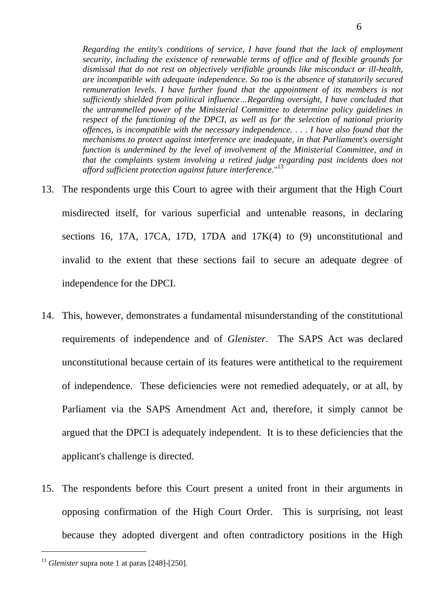*Regarding the entity's conditions of service, I have found that the lack of employment security, including the existence of renewable terms of office and of flexible grounds for dismissal that do not rest on objectively verifiable grounds like misconduct or ill-health, are incompatible with adequate independence. So too is the absence of statutorily secured remuneration levels. I have further found that the appointment of its members is not sufficiently shielded from political influence…Regarding oversight, I have concluded that the untrammelled power of the Ministerial Committee to determine policy guidelines in respect of the functioning of the DPCI, as well as for the selection of national priority offences, is incompatible with the necessary independence. . . . I have also found that the mechanisms to protect against interference are inadequate, in that Parliament's oversight function is undermined by the level of involvement of the Ministerial Committee, and in that the complaints system involving a retired judge regarding past incidents does not afford sufficient protection against future interference.*" 13

- 13. The respondents urge this Court to agree with their argument that the High Court misdirected itself, for various superficial and untenable reasons, in declaring sections 16, 17A, 17CA, 17D, 17DA and 17K(4) to (9) unconstitutional and invalid to the extent that these sections fail to secure an adequate degree of independence for the DPCI.
- 14. This, however, demonstrates a fundamental misunderstanding of the constitutional requirements of independence and of *Glenister*. The SAPS Act was declared unconstitutional because certain of its features were antithetical to the requirement of independence. These deficiencies were not remedied adequately, or at all, by Parliament via the SAPS Amendment Act and, therefore, it simply cannot be argued that the DPCI is adequately independent. It is to these deficiencies that the applicant's challenge is directed.
- 15. The respondents before this Court present a united front in their arguments in opposing confirmation of the High Court Order. This is surprising, not least because they adopted divergent and often contradictory positions in the High

<sup>13</sup> *Glenister* supra note [1](#page-0-0) at paras [248]-[250].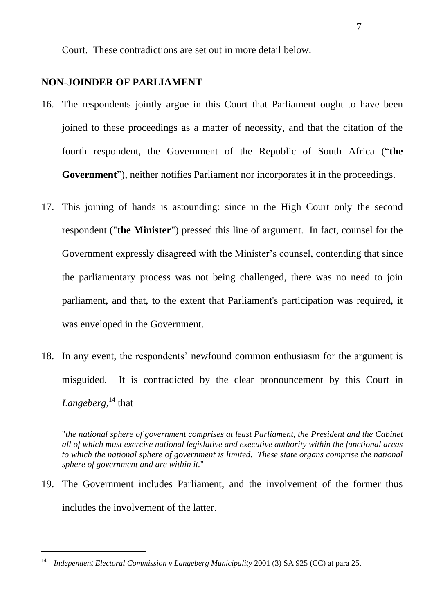Court. These contradictions are set out in more detail below.

## **NON-JOINDER OF PARLIAMENT**

- 16. The respondents jointly argue in this Court that Parliament ought to have been joined to these proceedings as a matter of necessity, and that the citation of the fourth respondent, the Government of the Republic of South Africa ("**the Government**"), neither notifies Parliament nor incorporates it in the proceedings.
- 17. This joining of hands is astounding: since in the High Court only the second respondent ("**the Minister**") pressed this line of argument. In fact, counsel for the Government expressly disagreed with the Minister's counsel, contending that since the parliamentary process was not being challenged, there was no need to join parliament, and that, to the extent that Parliament's participation was required, it was enveloped in the Government.
- 18. In any event, the respondents' newfound common enthusiasm for the argument is misguided. It is contradicted by the clear pronouncement by this Court in *Langeberg*, <sup>14</sup> that

"*the national sphere of government comprises at least Parliament, the President and the Cabinet all of which must exercise national legislative and executive authority within the functional areas*  to which the national sphere of government is limited. These state organs comprise the national *sphere of government and are within it.*"

19. The Government includes Parliament, and the involvement of the former thus includes the involvement of the latter.

<sup>14</sup> *Independent Electoral Commission v Langeberg Municipality* 2001 (3) SA 925 (CC) at para 25.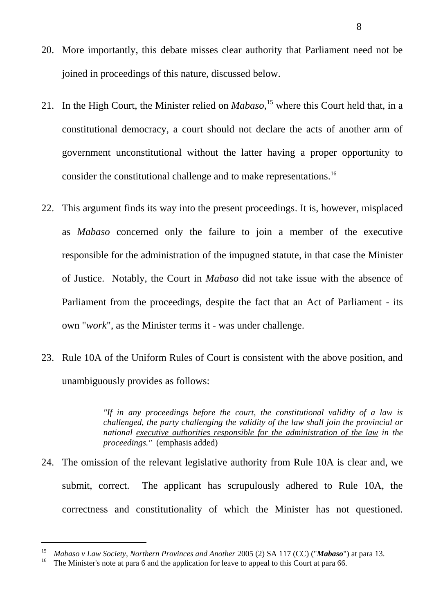- 20. More importantly, this debate misses clear authority that Parliament need not be joined in proceedings of this nature, discussed below.
- 21. In the High Court, the Minister relied on *Mabaso*, <sup>15</sup> where this Court held that, in a constitutional democracy, a court should not declare the acts of another arm of government unconstitutional without the latter having a proper opportunity to consider the constitutional challenge and to make representations.<sup>16</sup>
- 22. This argument finds its way into the present proceedings. It is, however, misplaced as *Mabaso* concerned only the failure to join a member of the executive responsible for the administration of the impugned statute, in that case the Minister of Justice. Notably, the Court in *Mabaso* did not take issue with the absence of Parliament from the proceedings, despite the fact that an Act of Parliament - its own "*work*", as the Minister terms it - was under challenge.
- 23. Rule 10A of the Uniform Rules of Court is consistent with the above position, and unambiguously provides as follows:

*"If in any proceedings before the court, the constitutional validity of a law is challenged, the party challenging the validity of the law shall join the provincial or national executive authorities responsible for the administration of the law in the proceedings."* (emphasis added)

24. The omission of the relevant legislative authority from Rule 10A is clear and, we submit, correct. The applicant has scrupulously adhered to Rule 10A, the correctness and constitutionality of which the Minister has not questioned.

<sup>15</sup> *Mabaso v Law Society, Northern Provinces and Another* 2005 (2) SA 117 (CC) ("*Mabaso*") at para 13.

<sup>&</sup>lt;sup>16</sup> The Minister's note at para 6 and the application for leave to appeal to this Court at para 66.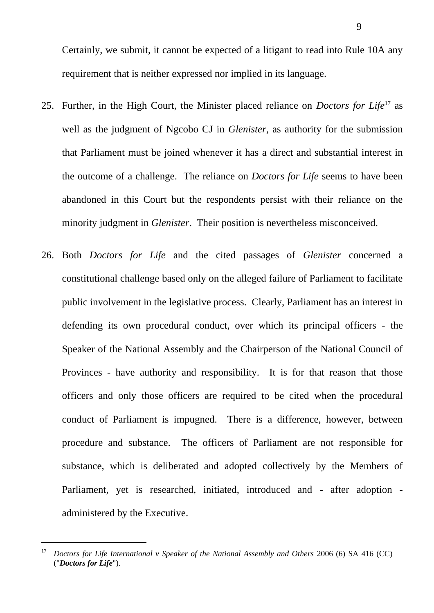Certainly, we submit, it cannot be expected of a litigant to read into Rule 10A any requirement that is neither expressed nor implied in its language.

- 25. Further, in the High Court, the Minister placed reliance on *Doctors for Life*<sup>17</sup> as well as the judgment of Ngcobo CJ in *Glenister*, as authority for the submission that Parliament must be joined whenever it has a direct and substantial interest in the outcome of a challenge. The reliance on *Doctors for Life* seems to have been abandoned in this Court but the respondents persist with their reliance on the minority judgment in *Glenister*. Their position is nevertheless misconceived.
- 26. Both *Doctors for Life* and the cited passages of *Glenister* concerned a constitutional challenge based only on the alleged failure of Parliament to facilitate public involvement in the legislative process. Clearly, Parliament has an interest in defending its own procedural conduct, over which its principal officers - the Speaker of the National Assembly and the Chairperson of the National Council of Provinces - have authority and responsibility. It is for that reason that those officers and only those officers are required to be cited when the procedural conduct of Parliament is impugned. There is a difference, however, between procedure and substance. The officers of Parliament are not responsible for substance, which is deliberated and adopted collectively by the Members of Parliament, yet is researched, initiated, introduced and - after adoption administered by the Executive.

<sup>&</sup>lt;sup>17</sup> Doctors for Life International v Speaker of the National Assembly and Others 2006 (6) SA 416 (CC) ("*Doctors for Life*").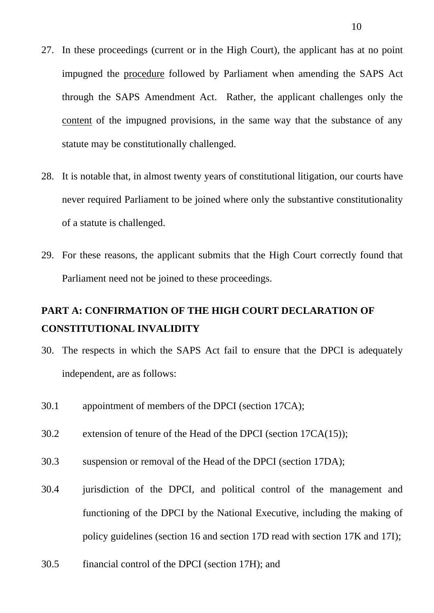- 27. In these proceedings (current or in the High Court), the applicant has at no point impugned the procedure followed by Parliament when amending the SAPS Act through the SAPS Amendment Act. Rather, the applicant challenges only the content of the impugned provisions, in the same way that the substance of any statute may be constitutionally challenged.
- 28. It is notable that, in almost twenty years of constitutional litigation, our courts have never required Parliament to be joined where only the substantive constitutionality of a statute is challenged.
- 29. For these reasons, the applicant submits that the High Court correctly found that Parliament need not be joined to these proceedings.

# **PART A: CONFIRMATION OF THE HIGH COURT DECLARATION OF CONSTITUTIONAL INVALIDITY**

- 30. The respects in which the SAPS Act fail to ensure that the DPCI is adequately independent, are as follows:
- 30.1 appointment of members of the DPCI (section 17CA);
- 30.2 extension of tenure of the Head of the DPCI (section 17CA(15));
- 30.3 suspension or removal of the Head of the DPCI (section 17DA);
- 30.4 jurisdiction of the DPCI, and political control of the management and functioning of the DPCI by the National Executive, including the making of policy guidelines (section 16 and section 17D read with section 17K and 17I);
- 30.5 financial control of the DPCI (section 17H); and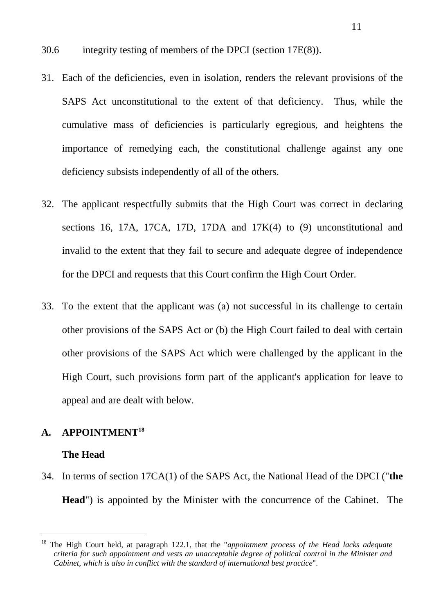- 30.6 integrity testing of members of the DPCI (section 17E(8)).
- 31. Each of the deficiencies, even in isolation, renders the relevant provisions of the SAPS Act unconstitutional to the extent of that deficiency. Thus, while the cumulative mass of deficiencies is particularly egregious, and heightens the importance of remedying each, the constitutional challenge against any one deficiency subsists independently of all of the others.
- 32. The applicant respectfully submits that the High Court was correct in declaring sections 16, 17A, 17CA, 17D, 17DA and 17K(4) to (9) unconstitutional and invalid to the extent that they fail to secure and adequate degree of independence for the DPCI and requests that this Court confirm the High Court Order.
- 33. To the extent that the applicant was (a) not successful in its challenge to certain other provisions of the SAPS Act or (b) the High Court failed to deal with certain other provisions of the SAPS Act which were challenged by the applicant in the High Court, such provisions form part of the applicant's application for leave to appeal and are dealt with below.

## **A. APPOINTMENT<sup>18</sup>**

#### **The Head**

34. In terms of section 17CA(1) of the SAPS Act, the National Head of the DPCI ("**the Head**") is appointed by the Minister with the concurrence of the Cabinet. The

<sup>18</sup> The High Court held, at paragraph 122.1, that the "*appointment process of the Head lacks adequate criteria for such appointment and vests an unacceptable degree of political control in the Minister and Cabinet, which is also in conflict with the standard of international best practice*".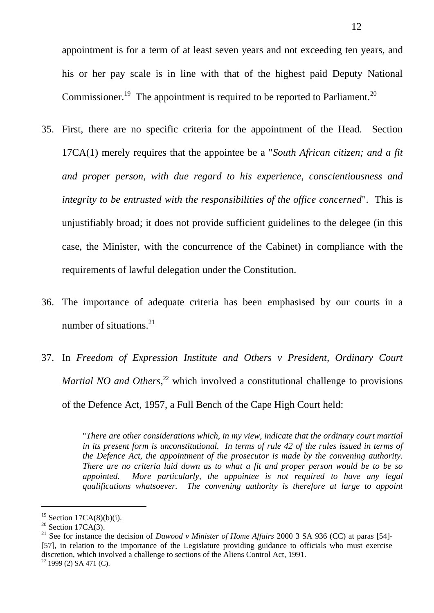appointment is for a term of at least seven years and not exceeding ten years, and his or her pay scale is in line with that of the highest paid Deputy National Commissioner.<sup>19</sup> The appointment is required to be reported to Parliament.<sup>20</sup>

- 35. First, there are no specific criteria for the appointment of the Head. Section 17CA(1) merely requires that the appointee be a "*South African citizen; and a fit and proper person, with due regard to his experience, conscientiousness and integrity to be entrusted with the responsibilities of the office concerned*". This is unjustifiably broad; it does not provide sufficient guidelines to the delegee (in this case, the Minister, with the concurrence of the Cabinet) in compliance with the requirements of lawful delegation under the Constitution.
- 36. The importance of adequate criteria has been emphasised by our courts in a number of situations.<sup>21</sup>
- 37. In *Freedom of Expression Institute and Others v President, Ordinary Court Martial NO and Others*, <sup>22</sup> which involved a constitutional challenge to provisions of the Defence Act, 1957, a Full Bench of the Cape High Court held:

"*There are other considerations which, in my view, indicate that the ordinary court martial in its present form is unconstitutional. In terms of rule 42 of the rules issued in terms of the Defence Act, the appointment of the prosecutor is made by the convening authority. There are no criteria laid down as to what a fit and proper person would be to be so appointed. More particularly, the appointee is not required to have any legal qualifications whatsoever. The convening authority is therefore at large to appoint* 

<sup>21</sup> See for instance the decision of *Dawood v Minister of Home Affairs* 2000 3 SA 936 (CC) at paras [54]-[57], in relation to the importance of the Legislature providing guidance to officials who must exercise discretion, which involved a challenge to sections of the Aliens Control Act, 1991.

<sup>&</sup>lt;sup>19</sup> Section 17CA $(8)(b)(i)$ .

<sup>&</sup>lt;sup>20</sup> Section 17CA $(3)$ .

 $22$  1999 (2) SA 471 (C).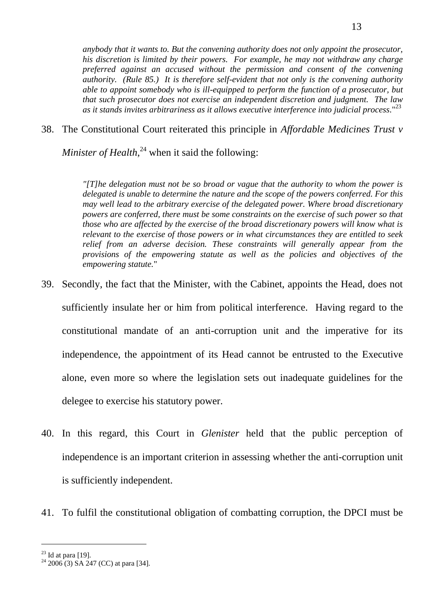*anybody that it wants to. But the convening authority does not only appoint the prosecutor, his discretion is limited by their powers. For example, he may not withdraw any charge preferred against an accused without the permission and consent of the convening authority. (Rule 85.) It is therefore self-evident that not only is the convening authority able to appoint somebody who is ill-equipped to perform the function of a prosecutor, but that such prosecutor does not exercise an independent discretion and judgment. The law as it stands invites arbitrariness as it allows executive interference into judicial process.*" 23

38. The Constitutional Court reiterated this principle in *Affordable Medicines Trust v* 

*Minister of Health*, <sup>24</sup> when it said the following:

*"[T]he delegation must not be so broad or vague that the authority to whom the power is delegated is unable to determine the nature and the scope of the powers conferred. For this may well lead to the arbitrary exercise of the delegated power. Where broad discretionary powers are conferred, there must be some constraints on the exercise of such power so that those who are affected by the exercise of the broad discretionary powers will know what is relevant to the exercise of those powers or in what circumstances they are entitled to seek relief from an adverse decision. These constraints will generally appear from the provisions of the empowering statute as well as the policies and objectives of the empowering statute.*"

- 39. Secondly, the fact that the Minister, with the Cabinet, appoints the Head, does not sufficiently insulate her or him from political interference. Having regard to the constitutional mandate of an anti-corruption unit and the imperative for its independence, the appointment of its Head cannot be entrusted to the Executive alone, even more so where the legislation sets out inadequate guidelines for the delegee to exercise his statutory power.
- 40. In this regard, this Court in *Glenister* held that the public perception of independence is an important criterion in assessing whether the anti-corruption unit is sufficiently independent.
- 41. To fulfil the constitutional obligation of combatting corruption, the DPCI must be

 $23$  Id at para [19].

 $24\ 2006\ (3)$  SA 247 (CC) at para [34].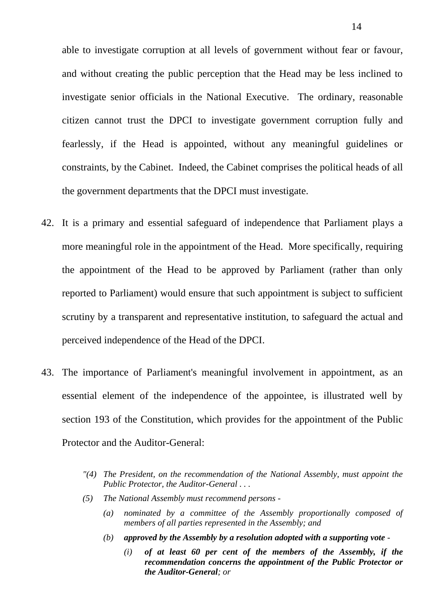able to investigate corruption at all levels of government without fear or favour, and without creating the public perception that the Head may be less inclined to investigate senior officials in the National Executive. The ordinary, reasonable citizen cannot trust the DPCI to investigate government corruption fully and fearlessly, if the Head is appointed, without any meaningful guidelines or constraints, by the Cabinet. Indeed, the Cabinet comprises the political heads of all the government departments that the DPCI must investigate.

- 42. It is a primary and essential safeguard of independence that Parliament plays a more meaningful role in the appointment of the Head. More specifically, requiring the appointment of the Head to be approved by Parliament (rather than only reported to Parliament) would ensure that such appointment is subject to sufficient scrutiny by a transparent and representative institution, to safeguard the actual and perceived independence of the Head of the DPCI.
- 43. The importance of Parliament's meaningful involvement in appointment, as an essential element of the independence of the appointee, is illustrated well by section 193 of the Constitution, which provides for the appointment of the Public Protector and the Auditor-General:
	- *"(4) The President, on the recommendation of the National Assembly, must appoint the Public Protector, the Auditor-General . . .*
	- *(5) The National Assembly must recommend persons -*
		- *(a) nominated by a committee of the Assembly proportionally composed of members of all parties represented in the Assembly; and*
		- *(b) approved by the Assembly by a resolution adopted with a supporting vote -*
			- *(i) of at least 60 per cent of the members of the Assembly, if the recommendation concerns the appointment of the Public Protector or the Auditor-General; or*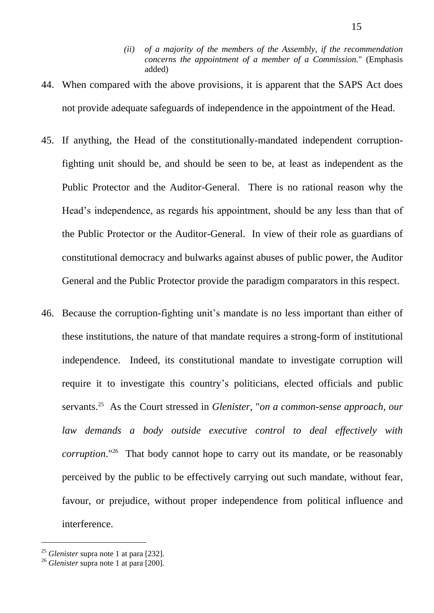- *(ii) of a majority of the members of the Assembly, if the recommendation concerns the appointment of a member of a Commission.*" (Emphasis added)
- 44. When compared with the above provisions, it is apparent that the SAPS Act does not provide adequate safeguards of independence in the appointment of the Head.
- 45. If anything, the Head of the constitutionally-mandated independent corruptionfighting unit should be, and should be seen to be, at least as independent as the Public Protector and the Auditor-General. There is no rational reason why the Head's independence, as regards his appointment, should be any less than that of the Public Protector or the Auditor-General. In view of their role as guardians of constitutional democracy and bulwarks against abuses of public power, the Auditor General and the Public Protector provide the paradigm comparators in this respect.
- 46. Because the corruption-fighting unit's mandate is no less important than either of these institutions, the nature of that mandate requires a strong-form of institutional independence. Indeed, its constitutional mandate to investigate corruption will require it to investigate this country's politicians, elected officials and public servants.<sup>25</sup> As the Court stressed in *Glenister*, "*on a common-sense approach, our law demands a body outside executive control to deal effectively with corruption*."<sup>26</sup> That body cannot hope to carry out its mandate, or be reasonably perceived by the public to be effectively carrying out such mandate, without fear, favour, or prejudice, without proper independence from political influence and interference.

<sup>25</sup> *Glenister* supra note [1](#page-0-0) at para [232].

<sup>26</sup> *Glenister* supra note [1](#page-0-0) at para [200].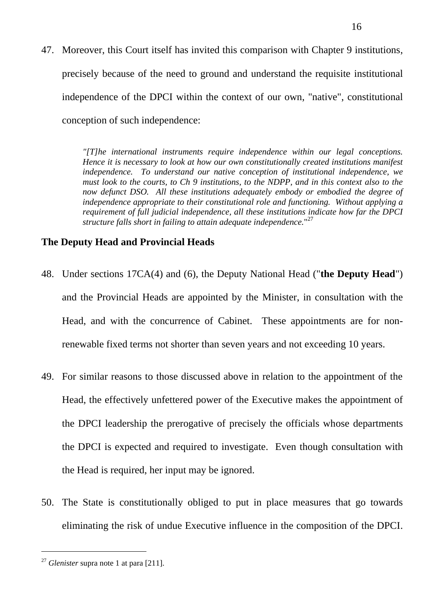47. Moreover, this Court itself has invited this comparison with Chapter 9 institutions, precisely because of the need to ground and understand the requisite institutional independence of the DPCI within the context of our own, "native", constitutional conception of such independence:

> *"[T]he international instruments require independence within our legal conceptions. Hence it is necessary to look at how our own constitutionally created institutions manifest independence. To understand our native conception of institutional independence, we must look to the courts, to Ch 9 institutions, to the NDPP, and in this context also to the now defunct DSO. All these institutions adequately embody or embodied the degree of independence appropriate to their constitutional role and functioning. Without applying a requirement of full judicial independence, all these institutions indicate how far the DPCI structure falls short in failing to attain adequate independence.*" 27

#### **The Deputy Head and Provincial Heads**

- 48. Under sections 17CA(4) and (6), the Deputy National Head ("**the Deputy Head**") and the Provincial Heads are appointed by the Minister, in consultation with the Head, and with the concurrence of Cabinet. These appointments are for nonrenewable fixed terms not shorter than seven years and not exceeding 10 years.
- 49. For similar reasons to those discussed above in relation to the appointment of the Head, the effectively unfettered power of the Executive makes the appointment of the DPCI leadership the prerogative of precisely the officials whose departments the DPCI is expected and required to investigate. Even though consultation with the Head is required, her input may be ignored.
- 50. The State is constitutionally obliged to put in place measures that go towards eliminating the risk of undue Executive influence in the composition of the DPCI.

<sup>27</sup> *Glenister* supra note [1](#page-0-0) at para [211].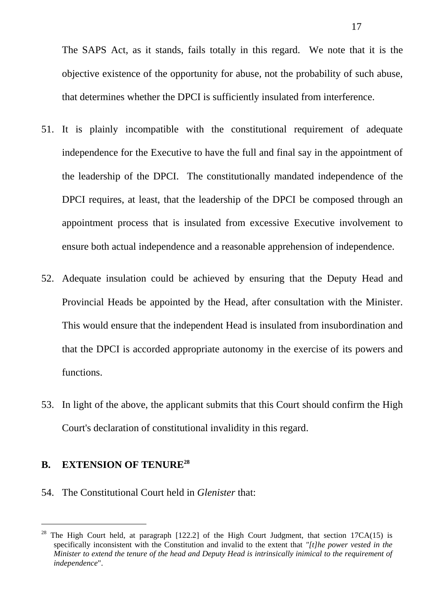The SAPS Act, as it stands, fails totally in this regard. We note that it is the objective existence of the opportunity for abuse, not the probability of such abuse, that determines whether the DPCI is sufficiently insulated from interference.

- 51. It is plainly incompatible with the constitutional requirement of adequate independence for the Executive to have the full and final say in the appointment of the leadership of the DPCI. The constitutionally mandated independence of the DPCI requires, at least, that the leadership of the DPCI be composed through an appointment process that is insulated from excessive Executive involvement to ensure both actual independence and a reasonable apprehension of independence.
- 52. Adequate insulation could be achieved by ensuring that the Deputy Head and Provincial Heads be appointed by the Head, after consultation with the Minister. This would ensure that the independent Head is insulated from insubordination and that the DPCI is accorded appropriate autonomy in the exercise of its powers and functions.
- 53. In light of the above, the applicant submits that this Court should confirm the High Court's declaration of constitutional invalidity in this regard.

## **B. EXTENSION OF TENURE<sup>28</sup>**

 $\overline{a}$ 

54. The Constitutional Court held in *Glenister* that:

<sup>&</sup>lt;sup>28</sup> The High Court held, at paragraph  $[122.2]$  of the High Court Judgment, that section  $17CA(15)$  is specifically inconsistent with the Constitution and invalid to the extent that *"[t]he power vested in the Minister to extend the tenure of the head and Deputy Head is intrinsically inimical to the requirement of independence*".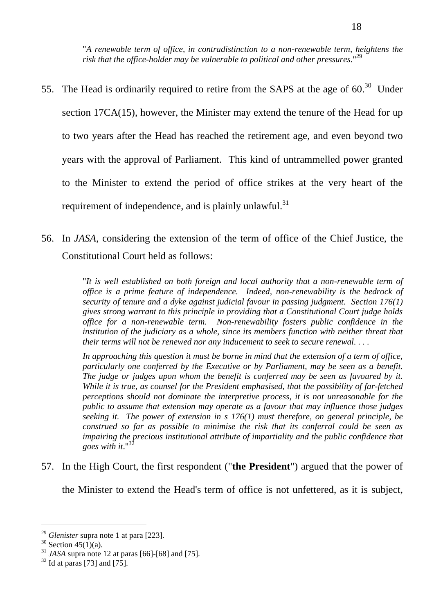"*A renewable term of office, in contradistinction to a non-renewable term, heightens the risk that the office-holder may be vulnerable to political and other pressures*." 29

- 55. The Head is ordinarily required to retire from the SAPS at the age of  $60.^{30}$  Under section 17CA(15), however, the Minister may extend the tenure of the Head for up to two years after the Head has reached the retirement age, and even beyond two years with the approval of Parliament. This kind of untrammelled power granted to the Minister to extend the period of office strikes at the very heart of the requirement of independence, and is plainly unlawful.<sup>31</sup>
- 56. In *JASA*, considering the extension of the term of office of the Chief Justice, the Constitutional Court held as follows:

"*It is well established on both foreign and local authority that a non-renewable term of office is a prime feature of independence. Indeed, non-renewability is the bedrock of security of tenure and a dyke against judicial favour in passing judgment. Section 176(1) gives strong warrant to this principle in providing that a Constitutional Court judge holds office for a non-renewable term. Non-renewability fosters public confidence in the institution of the judiciary as a whole, since its members function with neither threat that their terms will not be renewed nor any inducement to seek to secure renewal. . . .*

*In approaching this question it must be borne in mind that the extension of a term of office, particularly one conferred by the Executive or by Parliament, may be seen as a benefit. The judge or judges upon whom the benefit is conferred may be seen as favoured by it. While it is true, as counsel for the President emphasised, that the possibility of far-fetched perceptions should not dominate the interpretive process, it is not unreasonable for the public to assume that extension may operate as a favour that may influence those judges seeking it. The power of extension in s 176(1) must therefore, on general principle, be construed so far as possible to minimise the risk that its conferral could be seen as impairing the precious institutional attribute of impartiality and the public confidence that goes with it*." 32

57. In the High Court, the first respondent ("**the President**") argued that the power of

the Minister to extend the Head's term of office is not unfettered, as it is subject,

 $\overline{a}$ 

<sup>29</sup> *Glenister* supra note [1](#page-0-0) at para [223].

 $30$  Section 45(1)(a).

<sup>31</sup> *JASA* supra note 12 at paras [66]-[68] and [75].

 $32$  Id at paras [73] and [75].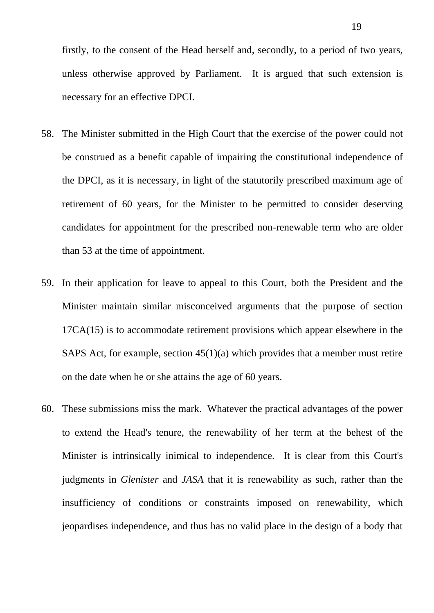firstly, to the consent of the Head herself and, secondly, to a period of two years, unless otherwise approved by Parliament. It is argued that such extension is necessary for an effective DPCI.

- 58. The Minister submitted in the High Court that the exercise of the power could not be construed as a benefit capable of impairing the constitutional independence of the DPCI, as it is necessary, in light of the statutorily prescribed maximum age of retirement of 60 years, for the Minister to be permitted to consider deserving candidates for appointment for the prescribed non-renewable term who are older than 53 at the time of appointment.
- 59. In their application for leave to appeal to this Court, both the President and the Minister maintain similar misconceived arguments that the purpose of section 17CA(15) is to accommodate retirement provisions which appear elsewhere in the SAPS Act, for example, section 45(1)(a) which provides that a member must retire on the date when he or she attains the age of 60 years.
- 60. These submissions miss the mark. Whatever the practical advantages of the power to extend the Head's tenure, the renewability of her term at the behest of the Minister is intrinsically inimical to independence. It is clear from this Court's judgments in *Glenister* and *JASA* that it is renewability as such, rather than the insufficiency of conditions or constraints imposed on renewability, which jeopardises independence, and thus has no valid place in the design of a body that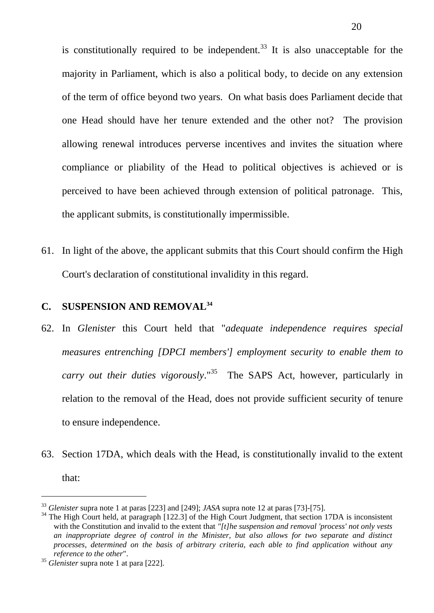is constitutionally required to be independent.<sup>33</sup> It is also unacceptable for the majority in Parliament, which is also a political body, to decide on any extension of the term of office beyond two years. On what basis does Parliament decide that one Head should have her tenure extended and the other not? The provision allowing renewal introduces perverse incentives and invites the situation where compliance or pliability of the Head to political objectives is achieved or is perceived to have been achieved through extension of political patronage. This, the applicant submits, is constitutionally impermissible.

61. In light of the above, the applicant submits that this Court should confirm the High Court's declaration of constitutional invalidity in this regard.

# **C. SUSPENSION AND REMOVAL<sup>34</sup>**

- 62. In *Glenister* this Court held that "*adequate independence requires special measures entrenching [DPCI members'] employment security to enable them to carry out their duties vigorously*." 35 The SAPS Act, however, particularly in relation to the removal of the Head, does not provide sufficient security of tenure to ensure independence.
- 63. Section 17DA, which deals with the Head, is constitutionally invalid to the extent that:

<sup>33</sup> *Glenister* supra note [1](#page-0-0) at paras [223] and [249]; *JASA* supra note 12 at paras [73]-[75].

<sup>&</sup>lt;sup>34</sup> The High Court held, at paragraph [122.3] of the High Court Judgment, that section 17DA is inconsistent with the Constitution and invalid to the extent that *"[t]he suspension and removal 'process' not only vests an inappropriate degree of control in the Minister, but also allows for two separate and distinct processes, determined on the basis of arbitrary criteria, each able to find application without any reference to the other*".

<sup>35</sup> *Glenister* supra note [1](#page-0-0) at para [222].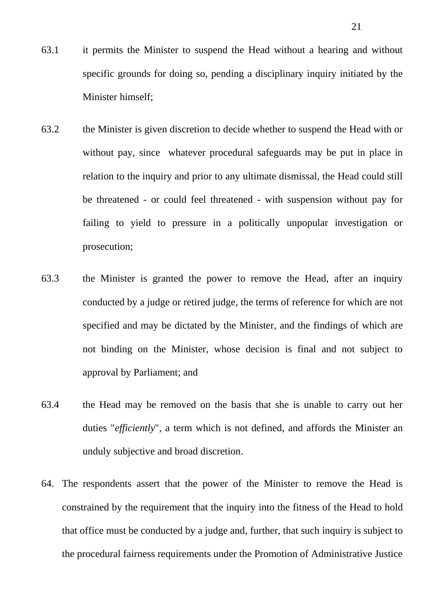- 63.1 it permits the Minister to suspend the Head without a hearing and without specific grounds for doing so, pending a disciplinary inquiry initiated by the Minister himself;
- 63.2 the Minister is given discretion to decide whether to suspend the Head with or without pay, since whatever procedural safeguards may be put in place in relation to the inquiry and prior to any ultimate dismissal, the Head could still be threatened - or could feel threatened - with suspension without pay for failing to yield to pressure in a politically unpopular investigation or prosecution;
- 63.3 the Minister is granted the power to remove the Head, after an inquiry conducted by a judge or retired judge, the terms of reference for which are not specified and may be dictated by the Minister, and the findings of which are not binding on the Minister, whose decision is final and not subject to approval by Parliament; and
- 63.4 the Head may be removed on the basis that she is unable to carry out her duties "*efficiently*", a term which is not defined, and affords the Minister an unduly subjective and broad discretion.
- 64. The respondents assert that the power of the Minister to remove the Head is constrained by the requirement that the inquiry into the fitness of the Head to hold that office must be conducted by a judge and, further, that such inquiry is subject to the procedural fairness requirements under the Promotion of Administrative Justice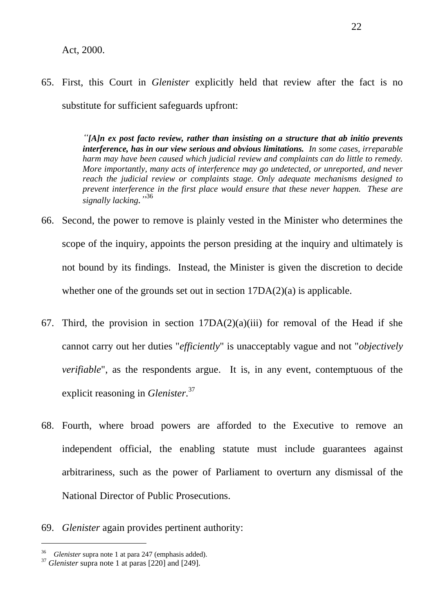#### Act, 2000.

65. First, this Court in *Glenister* explicitly held that review after the fact is no substitute for sufficient safeguards upfront:

> *"[A]n ex post facto review, rather than insisting on a structure that ab initio prevents interference, has in our view serious and obvious limitations. In some cases, irreparable harm may have been caused which judicial review and complaints can do little to remedy. More importantly, many acts of interference may go undetected, or unreported, and never reach the judicial review or complaints stage. Only adequate mechanisms designed to prevent interference in the first place would ensure that these never happen. These are signally lacking."* 36

- 66. Second, the power to remove is plainly vested in the Minister who determines the scope of the inquiry, appoints the person presiding at the inquiry and ultimately is not bound by its findings. Instead, the Minister is given the discretion to decide whether one of the grounds set out in section  $17DA(2)(a)$  is applicable.
- 67. Third, the provision in section  $17DA(2)(a)(iii)$  for removal of the Head if she cannot carry out her duties "*efficiently*" is unacceptably vague and not "*objectively verifiable*", as the respondents argue. It is, in any event, contemptuous of the explicit reasoning in *Glenister*. 37
- 68. Fourth, where broad powers are afforded to the Executive to remove an independent official, the enabling statute must include guarantees against arbitrariness, such as the power of Parliament to overturn any dismissal of the National Director of Public Prosecutions.
- 69. *Glenister* again provides pertinent authority:

<sup>36</sup> *Glenister* supra note 1 at para 247 (emphasis added).

<sup>37</sup> *Glenister* supra note [1](#page-0-0) at paras [220] and [249].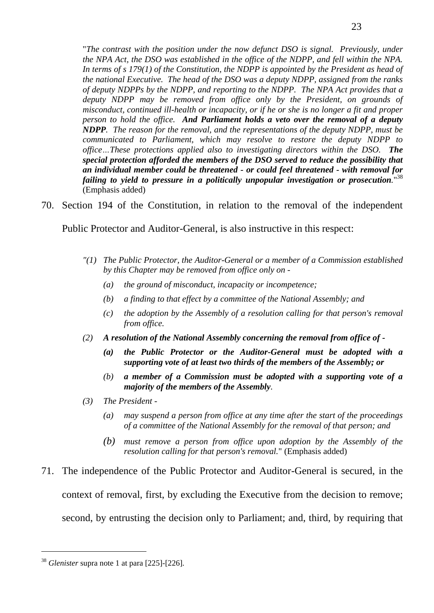"*The contrast with the position under the now defunct DSO is signal. Previously, under the NPA Act, the DSO was established in the office of the NDPP, and fell within the NPA. In terms of s 179(1) of the Constitution, the NDPP is appointed by the President as head of the national Executive. The head of the DSO was a deputy NDPP, assigned from the ranks of deputy NDPPs by the NDPP, and reporting to the NDPP. The NPA Act provides that a deputy NDPP may be removed from office only by the President, on grounds of misconduct, continued ill-health or incapacity, or if he or she is no longer a fit and proper person to hold the office. And Parliament holds a veto over the removal of a deputy NDPP. The reason for the removal, and the representations of the deputy NDPP, must be communicated to Parliament, which may resolve to restore the deputy NDPP to office…These protections applied also to investigating directors within the DSO. The special protection afforded the members of the DSO served to reduce the possibility that an individual member could be threatened - or could feel threatened - with removal for failing to yield to pressure in a politically unpopular investigation or prosecution.*" 38 (Emphasis added)

70. Section 194 of the Constitution, in relation to the removal of the independent

Public Protector and Auditor-General, is also instructive in this respect:

- *"(1) The Public Protector, the Auditor-General or a member of a Commission established by this Chapter may be removed from office only on -*
	- *(a) the ground of misconduct, incapacity or incompetence;*
	- *(b) a finding to that effect by a committee of the National Assembly; and*
	- *(c) the adoption by the Assembly of a resolution calling for that person's removal from office.*
- *(2) A resolution of the National Assembly concerning the removal from office of -*
	- *(a) the Public Protector or the Auditor-General must be adopted with a supporting vote of at least two thirds of the members of the Assembly; or*
	- *(b) a member of a Commission must be adopted with a supporting vote of a majority of the members of the Assembly.*
- *(3) The President -*
	- *(a) may suspend a person from office at any time after the start of the proceedings of a committee of the National Assembly for the removal of that person; and*
	- *(b) must remove a person from office upon adoption by the Assembly of the resolution calling for that person's removal.*" (Emphasis added)
- 71. The independence of the Public Protector and Auditor-General is secured, in the context of removal, first, by excluding the Executive from the decision to remove; second, by entrusting the decision only to Parliament; and, third, by requiring that

<sup>38</sup> *Glenister* supra note [1](#page-0-0) at para [225]-[226].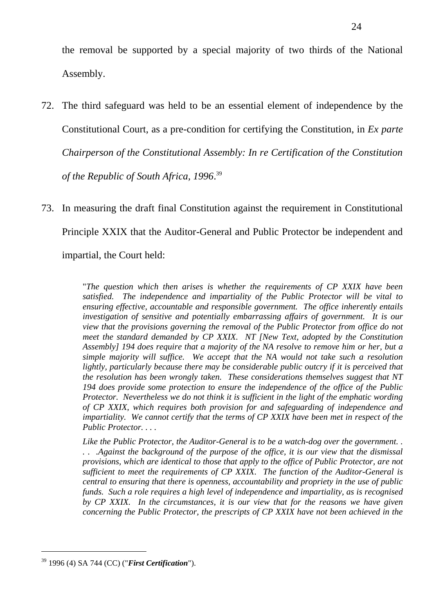the removal be supported by a special majority of two thirds of the National Assembly.

- 72. The third safeguard was held to be an essential element of independence by the Constitutional Court, as a pre-condition for certifying the Constitution, in *Ex parte Chairperson of the Constitutional Assembly: In re Certification of the Constitution of the Republic of South Africa, 1996*. 39
- 73. In measuring the draft final Constitution against the requirement in Constitutional Principle XXIX that the Auditor-General and Public Protector be independent and impartial, the Court held:

"*The question which then arises is whether the requirements of CP XXIX have been satisfied. The independence and impartiality of the Public Protector will be vital to ensuring effective, accountable and responsible government. The office inherently entails investigation of sensitive and potentially embarrassing affairs of government. It is our view that the provisions governing the removal of the Public Protector from office do not meet the standard demanded by CP XXIX. NT [New Text, adopted by the Constitution Assembly] 194 does require that a majority of the NA resolve to remove him or her, but a simple majority will suffice. We accept that the NA would not take such a resolution lightly, particularly because there may be considerable public outcry if it is perceived that the resolution has been wrongly taken. These considerations themselves suggest that NT 194 does provide some protection to ensure the independence of the office of the Public Protector. Nevertheless we do not think it is sufficient in the light of the emphatic wording of CP XXIX, which requires both provision for and safeguarding of independence and impartiality. We cannot certify that the terms of CP XXIX have been met in respect of the Public Protector. . . .*

*Like the Public Protector, the Auditor-General is to be a watch-dog over the government. . . . .Against the background of the purpose of the office, it is our view that the dismissal provisions, which are identical to those that apply to the office of Public Protector, are not sufficient to meet the requirements of CP XXIX. The function of the Auditor-General is central to ensuring that there is openness, accountability and propriety in the use of public funds. Such a role requires a high level of independence and impartiality, as is recognised by CP XXIX. In the circumstances, it is our view that for the reasons we have given concerning the Public Protector, the prescripts of CP XXIX have not been achieved in the* 

<sup>39</sup> 1996 (4) SA 744 (CC) ("*First Certification*").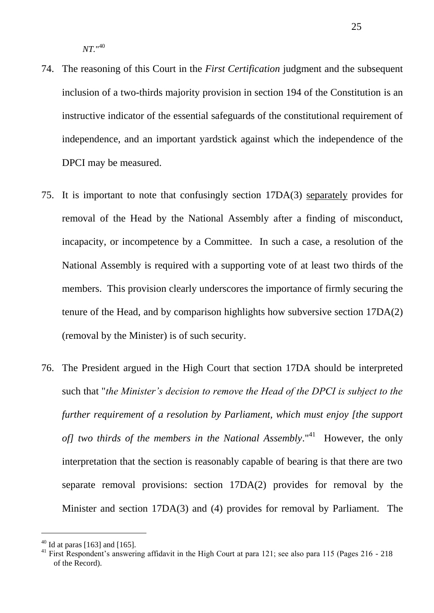- 74. The reasoning of this Court in the *First Certification* judgment and the subsequent inclusion of a two-thirds majority provision in section 194 of the Constitution is an instructive indicator of the essential safeguards of the constitutional requirement of independence, and an important yardstick against which the independence of the DPCI may be measured.
- 75. It is important to note that confusingly section 17DA(3) separately provides for removal of the Head by the National Assembly after a finding of misconduct, incapacity, or incompetence by a Committee. In such a case, a resolution of the National Assembly is required with a supporting vote of at least two thirds of the members. This provision clearly underscores the importance of firmly securing the tenure of the Head, and by comparison highlights how subversive section 17DA(2) (removal by the Minister) is of such security.
- 76. The President argued in the High Court that section 17DA should be interpreted such that "*the Minister's decision to remove the Head of the DPCI is subject to the further requirement of a resolution by Parliament, which must enjoy [the support*  of] two thirds of the members in the National Assembly."<sup>41</sup> However, the only interpretation that the section is reasonably capable of bearing is that there are two separate removal provisions: section 17DA(2) provides for removal by the Minister and section 17DA(3) and (4) provides for removal by Parliament. The

 $40$  Id at paras [163] and [165].

<sup>&</sup>lt;sup>41</sup> First Respondent's answering affidavit in the High Court at para 121; see also para 115 (Pages 216 - 218 of the Record).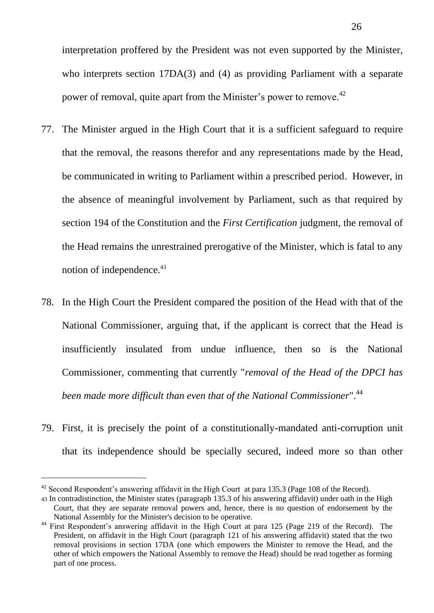interpretation proffered by the President was not even supported by the Minister, who interprets section 17DA(3) and (4) as providing Parliament with a separate power of removal, quite apart from the Minister's power to remove.<sup>42</sup>

- 77. The Minister argued in the High Court that it is a sufficient safeguard to require that the removal, the reasons therefor and any representations made by the Head, be communicated in writing to Parliament within a prescribed period. However, in the absence of meaningful involvement by Parliament, such as that required by section 194 of the Constitution and the *First Certification* judgment, the removal of the Head remains the unrestrained prerogative of the Minister, which is fatal to any notion of independence.<sup>43</sup>
- 78. In the High Court the President compared the position of the Head with that of the National Commissioner, arguing that, if the applicant is correct that the Head is insufficiently insulated from undue influence, then so is the National Commissioner, commenting that currently "*removal of the Head of the DPCI has been made more difficult than even that of the National Commissioner*".<sup>44</sup>
- 79. First, it is precisely the point of a constitutionally-mandated anti-corruption unit that its independence should be specially secured, indeed more so than other

 $42$  Second Respondent's answering affidavit in the High Court at para 135.3 (Page 108 of the Record).

<sup>43</sup> In contradistinction, the Minister states (paragraph 135.3 of his answering affidavit) under oath in the High Court, that they are separate removal powers and, hence, there is no question of endorsement by the National Assembly for the Minister's decision to be operative.

<sup>&</sup>lt;sup>44</sup> First Respondent's answering affidavit in the High Court at para 125 (Page 219 of the Record). The President, on affidavit in the High Court (paragraph 121 of his answering affidavit) stated that the two removal provisions in section 17DA (one which empowers the Minister to remove the Head, and the other of which empowers the National Assembly to remove the Head) should be read together as forming part of one process.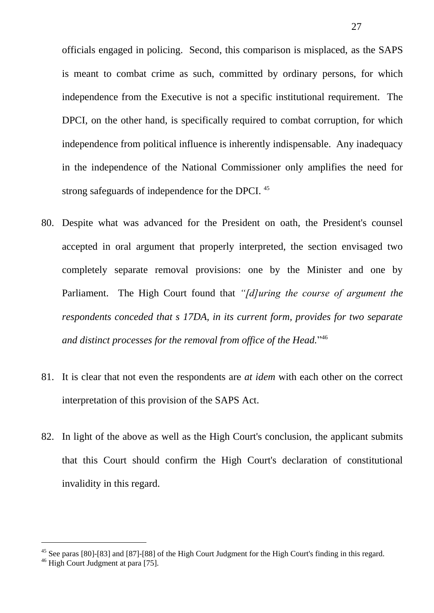officials engaged in policing. Second, this comparison is misplaced, as the SAPS is meant to combat crime as such, committed by ordinary persons, for which independence from the Executive is not a specific institutional requirement. The DPCI, on the other hand, is specifically required to combat corruption, for which independence from political influence is inherently indispensable. Any inadequacy in the independence of the National Commissioner only amplifies the need for strong safeguards of independence for the DPCI.<sup>45</sup>

- 80. Despite what was advanced for the President on oath, the President's counsel accepted in oral argument that properly interpreted, the section envisaged two completely separate removal provisions: one by the Minister and one by Parliament. The High Court found that *"[d]uring the course of argument the respondents conceded that s 17DA, in its current form, provides for two separate and distinct processes for the removal from office of the Head.*" 46
- 81. It is clear that not even the respondents are *at idem* with each other on the correct interpretation of this provision of the SAPS Act.
- 82. In light of the above as well as the High Court's conclusion, the applicant submits that this Court should confirm the High Court's declaration of constitutional invalidity in this regard.

<sup>&</sup>lt;sup>45</sup> See paras [80]-[83] and [87]-[88] of the High Court Judgment for the High Court's finding in this regard.

<sup>46</sup> High Court Judgment at para [75].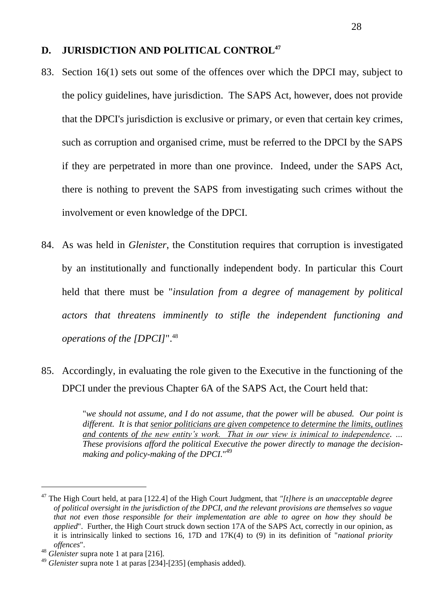### **D. JURISDICTION AND POLITICAL CONTROL<sup>47</sup>**

- 83. Section 16(1) sets out some of the offences over which the DPCI may, subject to the policy guidelines, have jurisdiction. The SAPS Act, however, does not provide that the DPCI's jurisdiction is exclusive or primary, or even that certain key crimes, such as corruption and organised crime, must be referred to the DPCI by the SAPS if they are perpetrated in more than one province. Indeed, under the SAPS Act, there is nothing to prevent the SAPS from investigating such crimes without the involvement or even knowledge of the DPCI.
- 84. As was held in *Glenister*, the Constitution requires that corruption is investigated by an institutionally and functionally independent body. In particular this Court held that there must be "*insulation from a degree of management by political actors that threatens imminently to stifle the independent functioning and operations of the [DPCI]*". 48
- 85. Accordingly, in evaluating the role given to the Executive in the functioning of the DPCI under the previous Chapter 6A of the SAPS Act, the Court held that:

"*we should not assume, and I do not assume, that the power will be abused. Our point is different. It is that senior politicians are given competence to determine the limits, outlines and contents of the new entity's work. That in our view is inimical to independence. … These provisions afford the political Executive the power directly to manage the decisionmaking and policy-making of the DPCI*." 49

 $\overline{a}$ 

<sup>47</sup> The High Court held, at para [122.4] of the High Court Judgment, that *"[t]here is an unacceptable degree of political oversight in the jurisdiction of the DPCI, and the relevant provisions are themselves so vague that not even those responsible for their implementation are able to agree on how they should be applied*". Further, the High Court struck down section 17A of the SAPS Act, correctly in our opinion, as it is intrinsically linked to sections 16, 17D and 17K(4) to (9) in its definition of "*national priority offences*".

<sup>48</sup> *Glenister* supra note [1](#page-0-0) at para [216].

<sup>49</sup> *Glenister* supra note [1](#page-0-0) at paras [234]-[235] (emphasis added).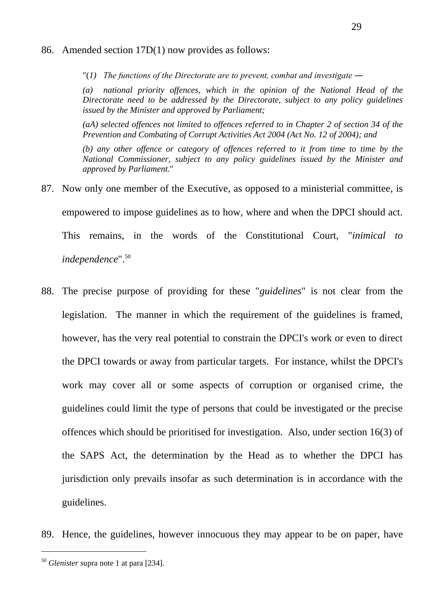#### 86. Amended section 17D(1) now provides as follows:

"(*1) The functions of the Directorate are to prevent, combat and investigate ―*

*(a) national priority offences, which in the opinion of the National Head of the Directorate need to be addressed by the Directorate, subject to any policy guidelines issued by the Minister and approved by Parliament;* 

*(aA) selected offences not limited to offences referred to in Chapter 2 of section 34 of the Prevention and Combating of Corrupt Activities Act 2004 (Act No. 12 of 2004); and*

*(b) any other offence or category of offences referred to it from time to time by the National Commissioner, subject to any policy guidelines issued by the Minister and approved by Parliament.*"

- 87. Now only one member of the Executive, as opposed to a ministerial committee, is empowered to impose guidelines as to how, where and when the DPCI should act. This remains, in the words of the Constitutional Court, "*inimical to independence*". 50
- 88. The precise purpose of providing for these "*guidelines*" is not clear from the legislation. The manner in which the requirement of the guidelines is framed, however, has the very real potential to constrain the DPCI's work or even to direct the DPCI towards or away from particular targets. For instance, whilst the DPCI's work may cover all or some aspects of corruption or organised crime, the guidelines could limit the type of persons that could be investigated or the precise offences which should be prioritised for investigation. Also, under section 16(3) of the SAPS Act, the determination by the Head as to whether the DPCI has jurisdiction only prevails insofar as such determination is in accordance with the guidelines.
- 89. Hence, the guidelines, however innocuous they may appear to be on paper, have

<sup>50</sup> *Glenister s*upra note [1](#page-0-0) at para [234].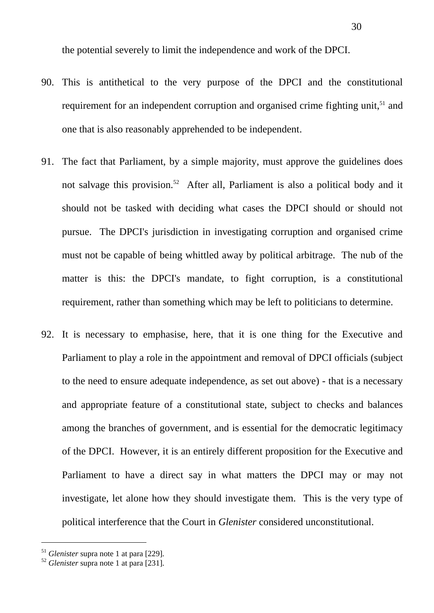the potential severely to limit the independence and work of the DPCI.

- 90. This is antithetical to the very purpose of the DPCI and the constitutional requirement for an independent corruption and organised crime fighting unit,<sup>51</sup> and one that is also reasonably apprehended to be independent.
- 91. The fact that Parliament, by a simple majority, must approve the guidelines does not salvage this provision.<sup>52</sup> After all, Parliament is also a political body and it should not be tasked with deciding what cases the DPCI should or should not pursue. The DPCI's jurisdiction in investigating corruption and organised crime must not be capable of being whittled away by political arbitrage. The nub of the matter is this: the DPCI's mandate, to fight corruption, is a constitutional requirement, rather than something which may be left to politicians to determine.
- 92. It is necessary to emphasise, here, that it is one thing for the Executive and Parliament to play a role in the appointment and removal of DPCI officials (subject to the need to ensure adequate independence, as set out above) - that is a necessary and appropriate feature of a constitutional state, subject to checks and balances among the branches of government, and is essential for the democratic legitimacy of the DPCI. However, it is an entirely different proposition for the Executive and Parliament to have a direct say in what matters the DPCI may or may not investigate, let alone how they should investigate them. This is the very type of political interference that the Court in *Glenister* considered unconstitutional.

<sup>51</sup> *Glenister* supra note [1](#page-0-0) at para [229].

<sup>52</sup> *Glenister* supra note [1](#page-0-0) at para [231].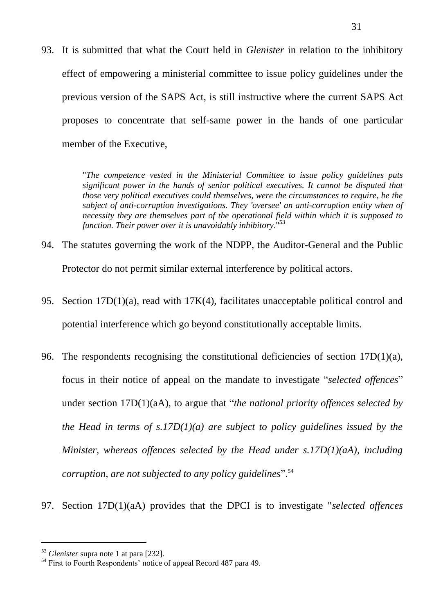93. It is submitted that what the Court held in *Glenister* in relation to the inhibitory effect of empowering a ministerial committee to issue policy guidelines under the previous version of the SAPS Act, is still instructive where the current SAPS Act proposes to concentrate that self-same power in the hands of one particular member of the Executive,

> "*The competence vested in the Ministerial Committee to issue policy guidelines puts significant power in the hands of senior political executives. It cannot be disputed that those very political executives could themselves, were the circumstances to require, be the subject of anti-corruption investigations. They 'oversee' an anti-corruption entity when of necessity they are themselves part of the operational field within which it is supposed to function. Their power over it is unavoidably inhibitory*." 53

- 94. The statutes governing the work of the NDPP, the Auditor-General and the Public Protector do not permit similar external interference by political actors.
- 95. Section 17D(1)(a), read with 17K(4), facilitates unacceptable political control and potential interference which go beyond constitutionally acceptable limits.
- 96. The respondents recognising the constitutional deficiencies of section 17D(1)(a), focus in their notice of appeal on the mandate to investigate "*selected offences*" under section 17D(1)(aA), to argue that "*the national priority offences selected by the Head in terms of s.17D(1)(a) are subject to policy guidelines issued by the Minister, whereas offences selected by the Head under s.17D(1)(aA), including corruption, are not subjected to any policy guidelines*".<sup>54</sup>
- 97. Section 17D(1)(aA) provides that the DPCI is to investigate "*selected offences*

<sup>53</sup> *Glenister* supra note [1](#page-0-0) at para [232].

<sup>&</sup>lt;sup>54</sup> First to Fourth Respondents' notice of appeal Record 487 para 49.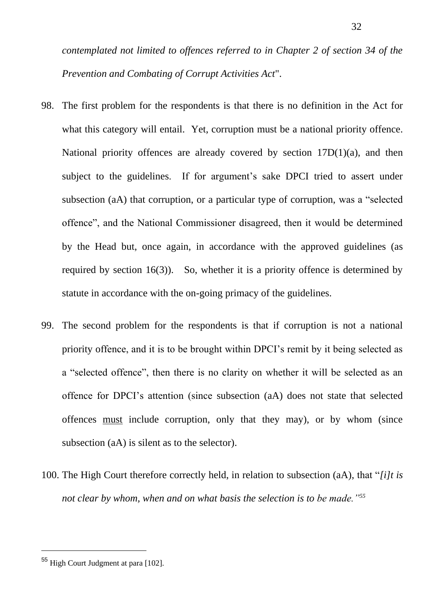*contemplated not limited to offences referred to in Chapter 2 of section 34 of the Prevention and Combating of Corrupt Activities Act*".

- 98. The first problem for the respondents is that there is no definition in the Act for what this category will entail. Yet, corruption must be a national priority offence. National priority offences are already covered by section  $17D(1)(a)$ , and then subject to the guidelines. If for argument's sake DPCI tried to assert under subsection (aA) that corruption, or a particular type of corruption, was a "selected offence", and the National Commissioner disagreed, then it would be determined by the Head but, once again, in accordance with the approved guidelines (as required by section 16(3)). So, whether it is a priority offence is determined by statute in accordance with the on-going primacy of the guidelines.
- 99. The second problem for the respondents is that if corruption is not a national priority offence, and it is to be brought within DPCI's remit by it being selected as a "selected offence", then there is no clarity on whether it will be selected as an offence for DPCI's attention (since subsection (aA) does not state that selected offences must include corruption, only that they may), or by whom (since subsection (aA) is silent as to the selector).
- 100. The High Court therefore correctly held, in relation to subsection (aA), that "*[i]t is not clear by whom, when and on what basis the selection is to be made."<sup>55</sup>*

<sup>55</sup> High Court Judgment at para [102].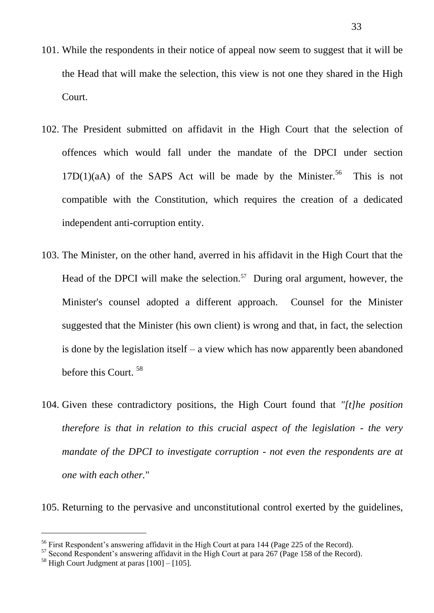- 101. While the respondents in their notice of appeal now seem to suggest that it will be the Head that will make the selection, this view is not one they shared in the High Court.
- 102. The President submitted on affidavit in the High Court that the selection of offences which would fall under the mandate of the DPCI under section  $17D(1)(aA)$  of the SAPS Act will be made by the Minister.<sup>56</sup> This is not compatible with the Constitution, which requires the creation of a dedicated independent anti-corruption entity.
- 103. The Minister, on the other hand, averred in his affidavit in the High Court that the Head of the DPCI will make the selection.<sup>57</sup> During oral argument, however, the Minister's counsel adopted a different approach. Counsel for the Minister suggested that the Minister (his own client) is wrong and that, in fact, the selection is done by the legislation itself – a view which has now apparently been abandoned before this Court.<sup>58</sup>
- 104. Given these contradictory positions, the High Court found that *"[t]he position therefore is that in relation to this crucial aspect of the legislation - the very mandate of the DPCI to investigate corruption - not even the respondents are at one with each other.*"

105. Returning to the pervasive and unconstitutional control exerted by the guidelines,

<sup>&</sup>lt;sup>56</sup> First Respondent's answering affidavit in the High Court at para 144 (Page 225 of the Record).

<sup>&</sup>lt;sup>57</sup> Second Respondent's answering affidavit in the High Court at para 267 (Page 158 of the Record).

 $58$  High Court Judgment at paras  $[100] - [105]$ .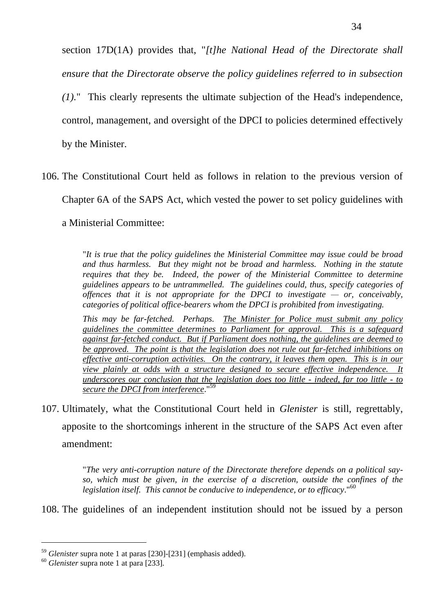section 17D(1A) provides that, "*[t]he National Head of the Directorate shall ensure that the Directorate observe the policy guidelines referred to in subsection (1).*" This clearly represents the ultimate subjection of the Head's independence, control, management, and oversight of the DPCI to policies determined effectively by the Minister.

106. The Constitutional Court held as follows in relation to the previous version of Chapter 6A of the SAPS Act, which vested the power to set policy guidelines with a Ministerial Committee:

> "*It is true that the policy guidelines the Ministerial Committee may issue could be broad and thus harmless. But they might not be broad and harmless. Nothing in the statute requires that they be. Indeed, the power of the Ministerial Committee to determine guidelines appears to be untrammelled. The guidelines could, thus, specify categories of offences that it is not appropriate for the DPCI to investigate — or, conceivably, categories of political office-bearers whom the DPCI is prohibited from investigating.*

> *This may be far-fetched. Perhaps. The Minister for Police must submit any policy guidelines the committee determines to Parliament for approval. This is a safeguard against far-fetched conduct. But if Parliament does nothing, the guidelines are deemed to be approved. The point is that the legislation does not rule out far-fetched inhibitions on effective anti-corruption activities. On the contrary, it leaves them open. This is in our view plainly at odds with a structure designed to secure effective independence. It underscores our conclusion that the legislation does too little - indeed, far too little - to secure the DPCI from interference*." 59

107. Ultimately, what the Constitutional Court held in *Glenister* is still, regrettably, apposite to the shortcomings inherent in the structure of the SAPS Act even after amendment:

> "*The very anti-corruption nature of the Directorate therefore depends on a political sayso, which must be given, in the exercise of a discretion, outside the confines of the legislation itself. This cannot be conducive to independence, or to efficacy*."<sup>60</sup>

108. The guidelines of an independent institution should not be issued by a person

<sup>59</sup> *Glenister* supra note [1](#page-0-0) at paras [230]-[231] (emphasis added).

<sup>60</sup> *Glenister* supra note [1](#page-0-0) at para [233].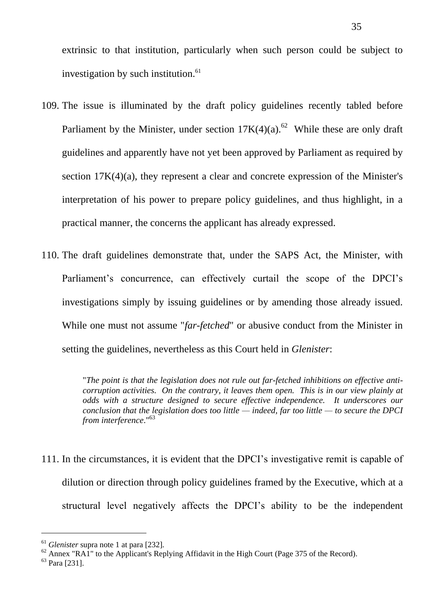extrinsic to that institution, particularly when such person could be subject to investigation by such institution.<sup>61</sup>

- 109. The issue is illuminated by the draft policy guidelines recently tabled before Parliament by the Minister, under section  $17K(4)(a)$ .<sup>62</sup> While these are only draft guidelines and apparently have not yet been approved by Parliament as required by section 17K(4)(a), they represent a clear and concrete expression of the Minister's interpretation of his power to prepare policy guidelines, and thus highlight, in a practical manner, the concerns the applicant has already expressed.
- 110. The draft guidelines demonstrate that, under the SAPS Act, the Minister, with Parliament's concurrence, can effectively curtail the scope of the DPCI's investigations simply by issuing guidelines or by amending those already issued. While one must not assume "*far-fetched*" or abusive conduct from the Minister in setting the guidelines, nevertheless as this Court held in *Glenister*:

"*The point is that the legislation does not rule out far-fetched inhibitions on effective anticorruption activities. On the contrary, it leaves them open. This is in our view plainly at odds with a structure designed to secure effective independence. It underscores our conclusion that the legislation does too little — indeed, far too little — to secure the DPCI from interference*."<sup>63</sup>

111. In the circumstances, it is evident that the DPCI's investigative remit is capable of dilution or direction through policy guidelines framed by the Executive, which at a structural level negatively affects the DPCI's ability to be the independent

<sup>61</sup> *Glenister* supra note [1](#page-0-0) at para [232].

<sup>&</sup>lt;sup>62</sup> Annex "RA1" to the Applicant's Replying Affidavit in the High Court (Page 375 of the Record).

<sup>63</sup> Para [231].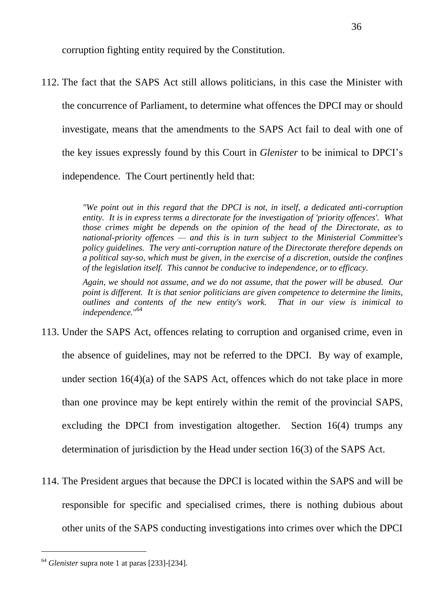corruption fighting entity required by the Constitution.

112. The fact that the SAPS Act still allows politicians, in this case the Minister with the concurrence of Parliament, to determine what offences the DPCI may or should investigate, means that the amendments to the SAPS Act fail to deal with one of the key issues expressly found by this Court in *Glenister* to be inimical to DPCI's independence. The Court pertinently held that:

> *"We point out in this regard that the DPCI is not, in itself, a dedicated anti-corruption entity. It is in express terms a directorate for the investigation of 'priority offences'. What those crimes might be depends on the opinion of the head of the Directorate, as to national-priority offences — and this is in turn subject to the Ministerial Committee's policy guidelines. The very anti-corruption nature of the Directorate therefore depends on a political say-so, which must be given, in the exercise of a discretion, outside the confines of the legislation itself. This cannot be conducive to independence, or to efficacy.*

> *Again, we should not assume, and we do not assume, that the power will be abused. Our point is different. It is that senior politicians are given competence to determine the limits, outlines and contents of the new entity's work. That in our view is inimical to independence.*" 64

- 113. Under the SAPS Act, offences relating to corruption and organised crime, even in the absence of guidelines, may not be referred to the DPCI. By way of example, under section 16(4)(a) of the SAPS Act, offences which do not take place in more than one province may be kept entirely within the remit of the provincial SAPS, excluding the DPCI from investigation altogether. Section 16(4) trumps any determination of jurisdiction by the Head under section 16(3) of the SAPS Act.
- 114. The President argues that because the DPCI is located within the SAPS and will be responsible for specific and specialised crimes, there is nothing dubious about other units of the SAPS conducting investigations into crimes over which the DPCI

<sup>64</sup> *Glenister* supra note [1](#page-0-0) at paras [233]-[234].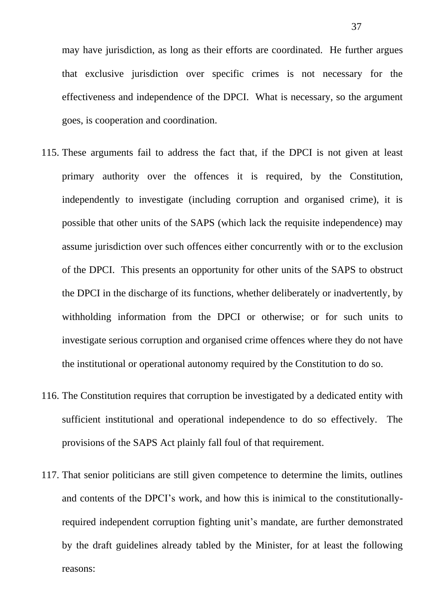may have jurisdiction, as long as their efforts are coordinated. He further argues that exclusive jurisdiction over specific crimes is not necessary for the effectiveness and independence of the DPCI. What is necessary, so the argument goes, is cooperation and coordination.

- 115. These arguments fail to address the fact that, if the DPCI is not given at least primary authority over the offences it is required, by the Constitution, independently to investigate (including corruption and organised crime), it is possible that other units of the SAPS (which lack the requisite independence) may assume jurisdiction over such offences either concurrently with or to the exclusion of the DPCI. This presents an opportunity for other units of the SAPS to obstruct the DPCI in the discharge of its functions, whether deliberately or inadvertently, by withholding information from the DPCI or otherwise; or for such units to investigate serious corruption and organised crime offences where they do not have the institutional or operational autonomy required by the Constitution to do so.
- 116. The Constitution requires that corruption be investigated by a dedicated entity with sufficient institutional and operational independence to do so effectively. The provisions of the SAPS Act plainly fall foul of that requirement.
- 117. That senior politicians are still given competence to determine the limits, outlines and contents of the DPCI's work, and how this is inimical to the constitutionallyrequired independent corruption fighting unit's mandate, are further demonstrated by the draft guidelines already tabled by the Minister, for at least the following reasons: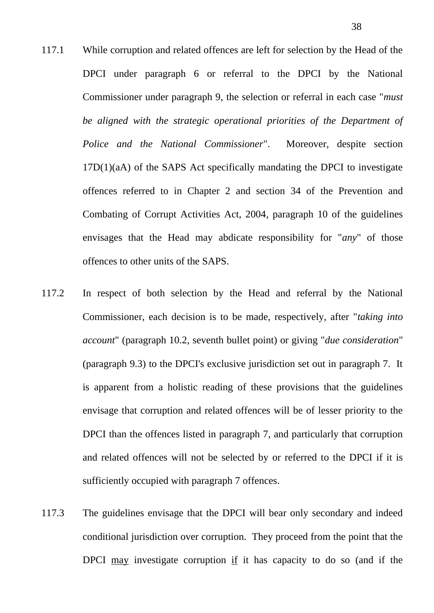- 117.1 While corruption and related offences are left for selection by the Head of the DPCI under paragraph 6 or referral to the DPCI by the National Commissioner under paragraph 9, the selection or referral in each case "*must be aligned with the strategic operational priorities of the Department of Police and the National Commissioner*". Moreover, despite section 17D(1)(aA) of the SAPS Act specifically mandating the DPCI to investigate offences referred to in Chapter 2 and section 34 of the Prevention and Combating of Corrupt Activities Act, 2004, paragraph 10 of the guidelines envisages that the Head may abdicate responsibility for "*any*" of those offences to other units of the SAPS.
- 117.2 In respect of both selection by the Head and referral by the National Commissioner, each decision is to be made, respectively, after "*taking into account*" (paragraph 10.2, seventh bullet point) or giving "*due consideration*" (paragraph 9.3) to the DPCI's exclusive jurisdiction set out in paragraph 7. It is apparent from a holistic reading of these provisions that the guidelines envisage that corruption and related offences will be of lesser priority to the DPCI than the offences listed in paragraph 7, and particularly that corruption and related offences will not be selected by or referred to the DPCI if it is sufficiently occupied with paragraph 7 offences.
- 117.3 The guidelines envisage that the DPCI will bear only secondary and indeed conditional jurisdiction over corruption. They proceed from the point that the DPCI  $\frac{may}{th}$  investigate corruption if it has capacity to do so (and if the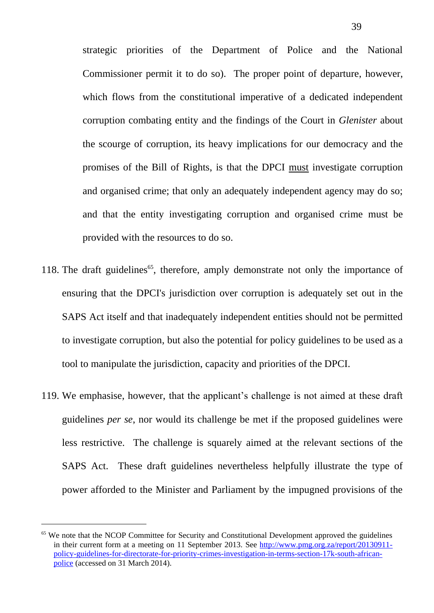strategic priorities of the Department of Police and the National Commissioner permit it to do so). The proper point of departure, however, which flows from the constitutional imperative of a dedicated independent corruption combating entity and the findings of the Court in *Glenister* about the scourge of corruption, its heavy implications for our democracy and the promises of the Bill of Rights, is that the DPCI must investigate corruption and organised crime; that only an adequately independent agency may do so; and that the entity investigating corruption and organised crime must be provided with the resources to do so.

- 118. The draft guidelines<sup> $65$ </sup>, therefore, amply demonstrate not only the importance of ensuring that the DPCI's jurisdiction over corruption is adequately set out in the SAPS Act itself and that inadequately independent entities should not be permitted to investigate corruption, but also the potential for policy guidelines to be used as a tool to manipulate the jurisdiction, capacity and priorities of the DPCI.
- 119. We emphasise, however, that the applicant's challenge is not aimed at these draft guidelines *per se*, nor would its challenge be met if the proposed guidelines were less restrictive. The challenge is squarely aimed at the relevant sections of the SAPS Act. These draft guidelines nevertheless helpfully illustrate the type of power afforded to the Minister and Parliament by the impugned provisions of the

 $\overline{a}$ 

<sup>&</sup>lt;sup>65</sup> We note that the NCOP Committee for Security and Constitutional Development approved the guidelines in their current form at a meeting on 11 September 2013. See [http://www.pmg.org.za/report/20130911](http://www.pmg.org.za/report/20130911-policy-guidelines-for-directorate-for-priority-crimes-investigation-in-terms-section-17k-south-african-police) [policy-guidelines-for-directorate-for-priority-crimes-investigation-in-terms-section-17k-south-african](http://www.pmg.org.za/report/20130911-policy-guidelines-for-directorate-for-priority-crimes-investigation-in-terms-section-17k-south-african-police)[police](http://www.pmg.org.za/report/20130911-policy-guidelines-for-directorate-for-priority-crimes-investigation-in-terms-section-17k-south-african-police) (accessed on 31 March 2014).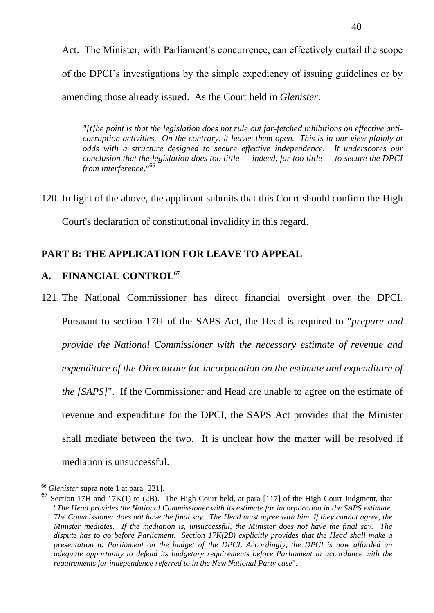Act. The Minister, with Parliament's concurrence, can effectively curtail the scope of the DPCI's investigations by the simple expediency of issuing guidelines or by amending those already issued. As the Court held in *Glenister*:

*"[t]he point is that the legislation does not rule out far-fetched inhibitions on effective anticorruption activities. On the contrary, it leaves them open. This is in our view plainly at odds with a structure designed to secure effective independence. It underscores our conclusion that the legislation does too little — indeed, far too little — to secure the DPCI from interference*." 66

120. In light of the above, the applicant submits that this Court should confirm the High

Court's declaration of constitutional invalidity in this regard.

# **PART B: THE APPLICATION FOR LEAVE TO APPEAL**

# **A. FINANCIAL CONTROL<sup>67</sup>**

121. The National Commissioner has direct financial oversight over the DPCI. Pursuant to section 17H of the SAPS Act, the Head is required to "*prepare and provide the National Commissioner with the necessary estimate of revenue and expenditure of the Directorate for incorporation on the estimate and expenditure of the [SAPS]*". If the Commissioner and Head are unable to agree on the estimate of revenue and expenditure for the DPCI, the SAPS Act provides that the Minister shall mediate between the two. It is unclear how the matter will be resolved if mediation is unsuccessful.

<sup>66</sup> *Glenister* supra note [1](#page-0-0) at para [231].

 $67$  Section 17H and 17K(1) to (2B). The High Court held, at para [117] of the High Court Judgment, that "*The Head provides the National Commissioner with its estimate for incorporation in the SAPS estimate. The Commissioner does not have the final say. The Head must agree with him. If they cannot agree, the Minister mediates. If the mediation is, unsuccessful, the Minister does not have the final say. The dispute has to go before Parliament. Section 17K(2B) explicitly provides that the Head shall make a presentation to Parliament on the budget of the DPCI. Accordingly, the DPCI is now afforded an adequate opportunity to defend its budgetary requirements before Parliament in accordance with the requirements for independence referred to in the New National Party case*".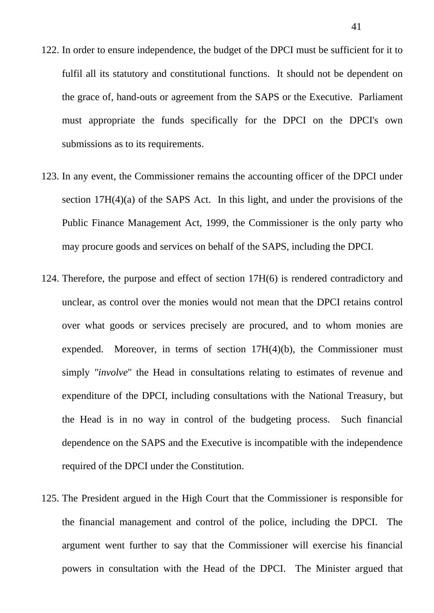- 122. In order to ensure independence, the budget of the DPCI must be sufficient for it to fulfil all its statutory and constitutional functions. It should not be dependent on the grace of, hand-outs or agreement from the SAPS or the Executive. Parliament must appropriate the funds specifically for the DPCI on the DPCI's own submissions as to its requirements.
- 123. In any event, the Commissioner remains the accounting officer of the DPCI under section 17H(4)(a) of the SAPS Act. In this light, and under the provisions of the Public Finance Management Act, 1999, the Commissioner is the only party who may procure goods and services on behalf of the SAPS, including the DPCI.
- 124. Therefore, the purpose and effect of section 17H(6) is rendered contradictory and unclear, as control over the monies would not mean that the DPCI retains control over what goods or services precisely are procured, and to whom monies are expended. Moreover, in terms of section 17H(4)(b), the Commissioner must simply *"involve*" the Head in consultations relating to estimates of revenue and expenditure of the DPCI, including consultations with the National Treasury, but the Head is in no way in control of the budgeting process. Such financial dependence on the SAPS and the Executive is incompatible with the independence required of the DPCI under the Constitution.
- 125. The President argued in the High Court that the Commissioner is responsible for the financial management and control of the police, including the DPCI. The argument went further to say that the Commissioner will exercise his financial powers in consultation with the Head of the DPCI. The Minister argued that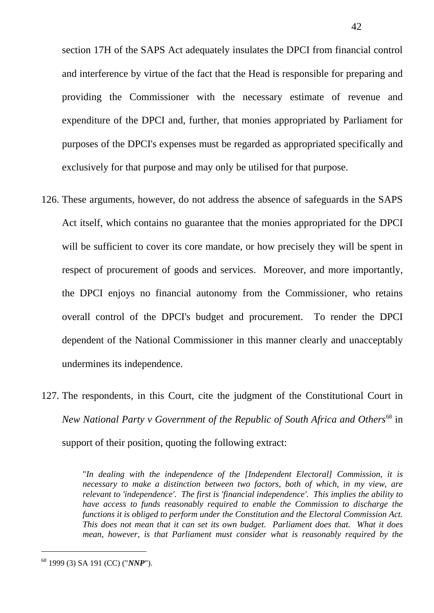section 17H of the SAPS Act adequately insulates the DPCI from financial control and interference by virtue of the fact that the Head is responsible for preparing and providing the Commissioner with the necessary estimate of revenue and expenditure of the DPCI and, further, that monies appropriated by Parliament for purposes of the DPCI's expenses must be regarded as appropriated specifically and exclusively for that purpose and may only be utilised for that purpose.

- 126. These arguments, however, do not address the absence of safeguards in the SAPS Act itself, which contains no guarantee that the monies appropriated for the DPCI will be sufficient to cover its core mandate, or how precisely they will be spent in respect of procurement of goods and services. Moreover, and more importantly, the DPCI enjoys no financial autonomy from the Commissioner, who retains overall control of the DPCI's budget and procurement. To render the DPCI dependent of the National Commissioner in this manner clearly and unacceptably undermines its independence.
- 127. The respondents, in this Court, cite the judgment of the Constitutional Court in *New National Party v Government of the Republic of South Africa and Others*<sup>68</sup> in support of their position, quoting the following extract:

"*In dealing with the independence of the [Independent Electoral] Commission, it is necessary to make a distinction between two factors, both of which, in my view, are relevant to 'independence'. The first is 'financial independence'. This implies the ability to have access to funds reasonably required to enable the Commission to discharge the functions it is obliged to perform under the Constitution and the Electoral Commission Act. This does not mean that it can set its own budget. Parliament does that. What it does mean, however, is that Parliament must consider what is reasonably required by the* 

<sup>68</sup> 1999 (3) SA 191 (CC) ("*NNP*").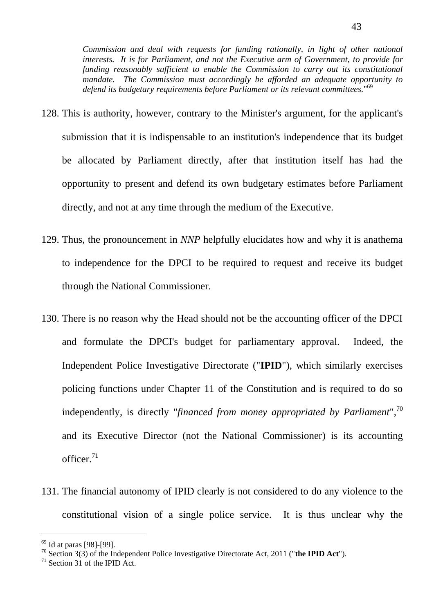*Commission and deal with requests for funding rationally, in light of other national interests. It is for Parliament, and not the Executive arm of Government, to provide for funding reasonably sufficient to enable the Commission to carry out its constitutional mandate. The Commission must accordingly be afforded an adequate opportunity to defend its budgetary requirements before Parliament or its relevant committees.*" 69

- 128. This is authority, however, contrary to the Minister's argument, for the applicant's submission that it is indispensable to an institution's independence that its budget be allocated by Parliament directly, after that institution itself has had the opportunity to present and defend its own budgetary estimates before Parliament directly, and not at any time through the medium of the Executive.
- 129. Thus, the pronouncement in *NNP* helpfully elucidates how and why it is anathema to independence for the DPCI to be required to request and receive its budget through the National Commissioner.
- 130. There is no reason why the Head should not be the accounting officer of the DPCI and formulate the DPCI's budget for parliamentary approval. Indeed, the Independent Police Investigative Directorate ("**IPID**"), which similarly exercises policing functions under Chapter 11 of the Constitution and is required to do so independently, is directly "*financed from money appropriated by Parliament*", 70 and its Executive Director (not the National Commissioner) is its accounting officer. 71
- 131. The financial autonomy of IPID clearly is not considered to do any violence to the constitutional vision of a single police service. It is thus unclear why the

<sup>69</sup> Id at paras [98]-[99].

<sup>70</sup> Section 3(3) of the Independent Police Investigative Directorate Act, 2011 ("**the IPID Act**").

 $71$  Section 31 of the IPID Act.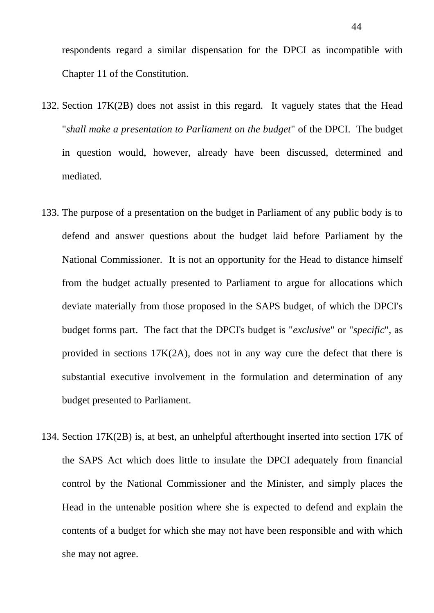respondents regard a similar dispensation for the DPCI as incompatible with Chapter 11 of the Constitution.

- 132. Section 17K(2B) does not assist in this regard. It vaguely states that the Head "*shall make a presentation to Parliament on the budget*" of the DPCI. The budget in question would, however, already have been discussed, determined and mediated.
- 133. The purpose of a presentation on the budget in Parliament of any public body is to defend and answer questions about the budget laid before Parliament by the National Commissioner. It is not an opportunity for the Head to distance himself from the budget actually presented to Parliament to argue for allocations which deviate materially from those proposed in the SAPS budget, of which the DPCI's budget forms part. The fact that the DPCI's budget is "*exclusive*" or "*specific*", as provided in sections 17K(2A), does not in any way cure the defect that there is substantial executive involvement in the formulation and determination of any budget presented to Parliament.
- 134. Section 17K(2B) is, at best, an unhelpful afterthought inserted into section 17K of the SAPS Act which does little to insulate the DPCI adequately from financial control by the National Commissioner and the Minister, and simply places the Head in the untenable position where she is expected to defend and explain the contents of a budget for which she may not have been responsible and with which she may not agree.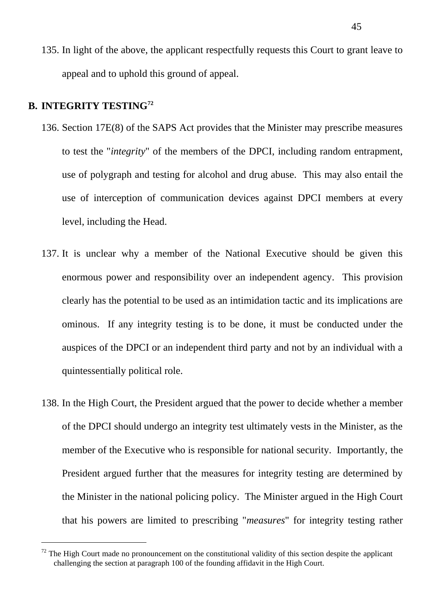135. In light of the above, the applicant respectfully requests this Court to grant leave to appeal and to uphold this ground of appeal.

# **B. INTEGRITY TESTING<sup>72</sup>**

- 136. Section 17E(8) of the SAPS Act provides that the Minister may prescribe measures to test the "*integrity*" of the members of the DPCI, including random entrapment, use of polygraph and testing for alcohol and drug abuse. This may also entail the use of interception of communication devices against DPCI members at every level, including the Head.
- 137. It is unclear why a member of the National Executive should be given this enormous power and responsibility over an independent agency. This provision clearly has the potential to be used as an intimidation tactic and its implications are ominous. If any integrity testing is to be done, it must be conducted under the auspices of the DPCI or an independent third party and not by an individual with a quintessentially political role.
- 138. In the High Court, the President argued that the power to decide whether a member of the DPCI should undergo an integrity test ultimately vests in the Minister, as the member of the Executive who is responsible for national security. Importantly, the President argued further that the measures for integrity testing are determined by the Minister in the national policing policy. The Minister argued in the High Court that his powers are limited to prescribing "*measures*" for integrity testing rather

 $72$  The High Court made no pronouncement on the constitutional validity of this section despite the applicant challenging the section at paragraph 100 of the founding affidavit in the High Court.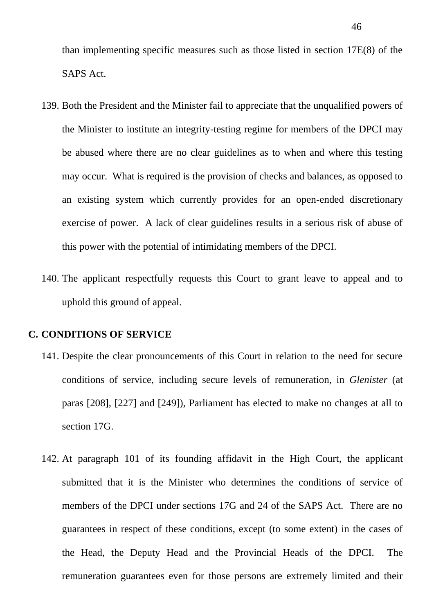than implementing specific measures such as those listed in section 17E(8) of the SAPS Act.

- 139. Both the President and the Minister fail to appreciate that the unqualified powers of the Minister to institute an integrity-testing regime for members of the DPCI may be abused where there are no clear guidelines as to when and where this testing may occur. What is required is the provision of checks and balances, as opposed to an existing system which currently provides for an open-ended discretionary exercise of power. A lack of clear guidelines results in a serious risk of abuse of this power with the potential of intimidating members of the DPCI.
- 140. The applicant respectfully requests this Court to grant leave to appeal and to uphold this ground of appeal.

#### **C. CONDITIONS OF SERVICE**

- 141. Despite the clear pronouncements of this Court in relation to the need for secure conditions of service, including secure levels of remuneration, in *Glenister* (at paras [208], [227] and [249]), Parliament has elected to make no changes at all to section 17G.
- 142. At paragraph 101 of its founding affidavit in the High Court, the applicant submitted that it is the Minister who determines the conditions of service of members of the DPCI under sections 17G and 24 of the SAPS Act. There are no guarantees in respect of these conditions, except (to some extent) in the cases of the Head, the Deputy Head and the Provincial Heads of the DPCI. The remuneration guarantees even for those persons are extremely limited and their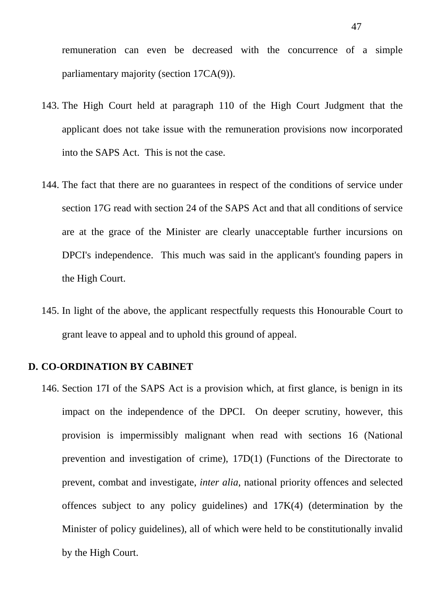remuneration can even be decreased with the concurrence of a simple parliamentary majority (section 17CA(9)).

- 143. The High Court held at paragraph 110 of the High Court Judgment that the applicant does not take issue with the remuneration provisions now incorporated into the SAPS Act. This is not the case.
- 144. The fact that there are no guarantees in respect of the conditions of service under section 17G read with section 24 of the SAPS Act and that all conditions of service are at the grace of the Minister are clearly unacceptable further incursions on DPCI's independence. This much was said in the applicant's founding papers in the High Court.
- 145. In light of the above, the applicant respectfully requests this Honourable Court to grant leave to appeal and to uphold this ground of appeal.

#### **D. CO-ORDINATION BY CABINET**

146. Section 17I of the SAPS Act is a provision which, at first glance, is benign in its impact on the independence of the DPCI. On deeper scrutiny, however, this provision is impermissibly malignant when read with sections 16 (National prevention and investigation of crime), 17D(1) (Functions of the Directorate to prevent, combat and investigate, *inter alia*, national priority offences and selected offences subject to any policy guidelines) and 17K(4) (determination by the Minister of policy guidelines), all of which were held to be constitutionally invalid by the High Court.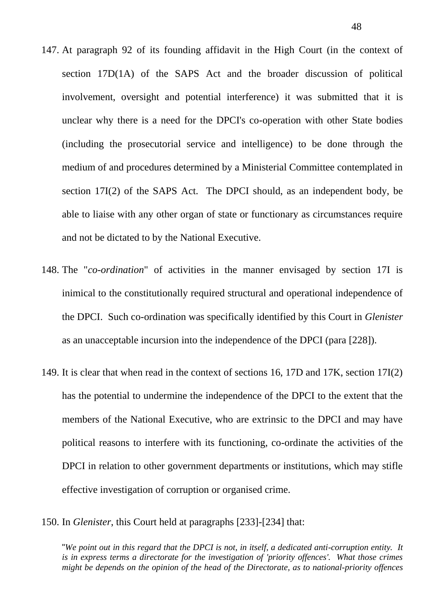- 147. At paragraph 92 of its founding affidavit in the High Court (in the context of section 17D(1A) of the SAPS Act and the broader discussion of political involvement, oversight and potential interference) it was submitted that it is unclear why there is a need for the DPCI's co-operation with other State bodies (including the prosecutorial service and intelligence) to be done through the medium of and procedures determined by a Ministerial Committee contemplated in section 17I(2) of the SAPS Act. The DPCI should, as an independent body, be able to liaise with any other organ of state or functionary as circumstances require and not be dictated to by the National Executive.
- 148. The "*co-ordination*" of activities in the manner envisaged by section 17I is inimical to the constitutionally required structural and operational independence of the DPCI. Such co-ordination was specifically identified by this Court in *Glenister* as an unacceptable incursion into the independence of the DPCI (para [228]).
- 149. It is clear that when read in the context of sections 16, 17D and 17K, section 17I(2) has the potential to undermine the independence of the DPCI to the extent that the members of the National Executive, who are extrinsic to the DPCI and may have political reasons to interfere with its functioning, co-ordinate the activities of the DPCI in relation to other government departments or institutions, which may stifle effective investigation of corruption or organised crime.
- 150. In *Glenister*, this Court held at paragraphs [233]-[234] that:

"*We point out in this regard that the DPCI is not, in itself, a dedicated anti-corruption entity. It is in express terms a directorate for the investigation of 'priority offences'. What those crimes might be depends on the opinion of the head of the Directorate, as to national-priority offences*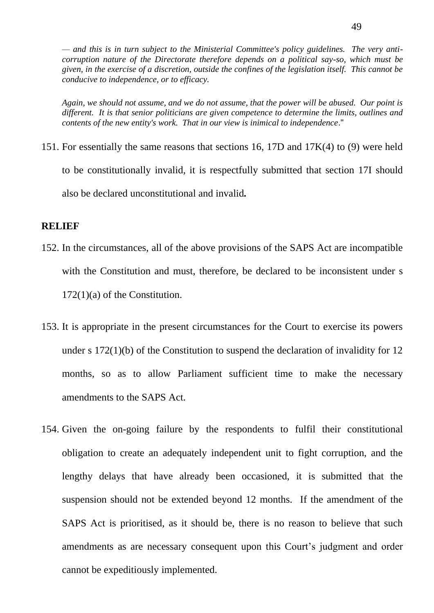*— and this is in turn subject to the Ministerial Committee's policy guidelines. The very anticorruption nature of the Directorate therefore depends on a political say-so, which must be given, in the exercise of a discretion, outside the confines of the legislation itself. This cannot be conducive to independence, or to efficacy.*

*Again, we should not assume, and we do not assume, that the power will be abused. Our point is different. It is that senior politicians are given competence to determine the limits, outlines and contents of the new entity's work. That in our view is inimical to independence*."

151. For essentially the same reasons that sections 16, 17D and 17K(4) to (9) were held to be constitutionally invalid, it is respectfully submitted that section 17I should also be declared unconstitutional and invalid*.*

#### **RELIEF**

- 152. In the circumstances, all of the above provisions of the SAPS Act are incompatible with the Constitution and must, therefore, be declared to be inconsistent under s 172(1)(a) of the Constitution.
- 153. It is appropriate in the present circumstances for the Court to exercise its powers under s 172(1)(b) of the Constitution to suspend the declaration of invalidity for 12 months, so as to allow Parliament sufficient time to make the necessary amendments to the SAPS Act.
- 154. Given the on-going failure by the respondents to fulfil their constitutional obligation to create an adequately independent unit to fight corruption, and the lengthy delays that have already been occasioned, it is submitted that the suspension should not be extended beyond 12 months. If the amendment of the SAPS Act is prioritised, as it should be, there is no reason to believe that such amendments as are necessary consequent upon this Court's judgment and order cannot be expeditiously implemented.